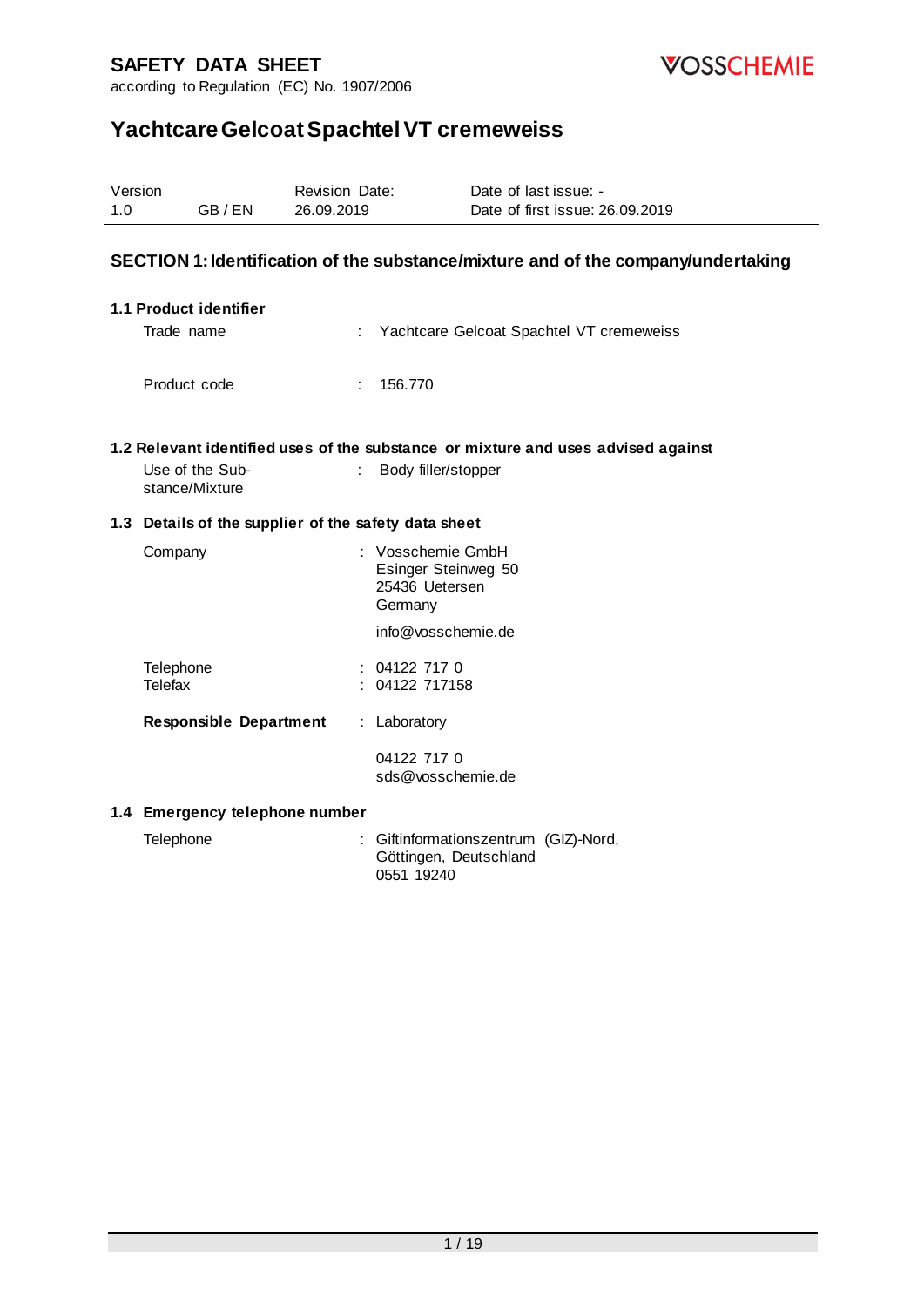



# **Yachtcare Gelcoat Spachtel VT cremeweiss**

| Version<br>1.0 | GB/EN                             | Revision Date:<br>26.09.2019                         | Date of last issue: -<br>Date of first issue: 26.09.2019                                                 |
|----------------|-----------------------------------|------------------------------------------------------|----------------------------------------------------------------------------------------------------------|
|                |                                   |                                                      | SECTION 1: Identification of the substance/mixture and of the company/undertaking                        |
|                | 1.1 Product identifier            |                                                      |                                                                                                          |
|                | Trade name                        |                                                      | Yachtcare Gelcoat Spachtel VT cremeweiss                                                                 |
|                | Product code                      | 156.770<br>÷                                         |                                                                                                          |
|                | Use of the Sub-<br>stance/Mixture |                                                      | 1.2 Relevant identified uses of the substance or mixture and uses advised against<br>Body filler/stopper |
|                |                                   | 1.3 Details of the supplier of the safety data sheet |                                                                                                          |
|                | Company                           | Germany                                              | : Vosschemie GmbH<br>Esinger Steinweg 50<br>25436 Uetersen                                               |
|                |                                   |                                                      | info@yosschemie.de                                                                                       |
|                | Telephone<br>Telefax              | 04122 717 0<br>04122 717158                          |                                                                                                          |
|                | <b>Responsible Department</b>     | : Laboratory                                         |                                                                                                          |
|                |                                   | 04122 717 0                                          | sds@vosschemie.de                                                                                        |

#### **1.4 Emergency telephone number**

| Telephone | : Giftinformationszentrum (GIZ)-Nord, |
|-----------|---------------------------------------|
|           | Göttingen, Deutschland                |
|           | 0551 19240                            |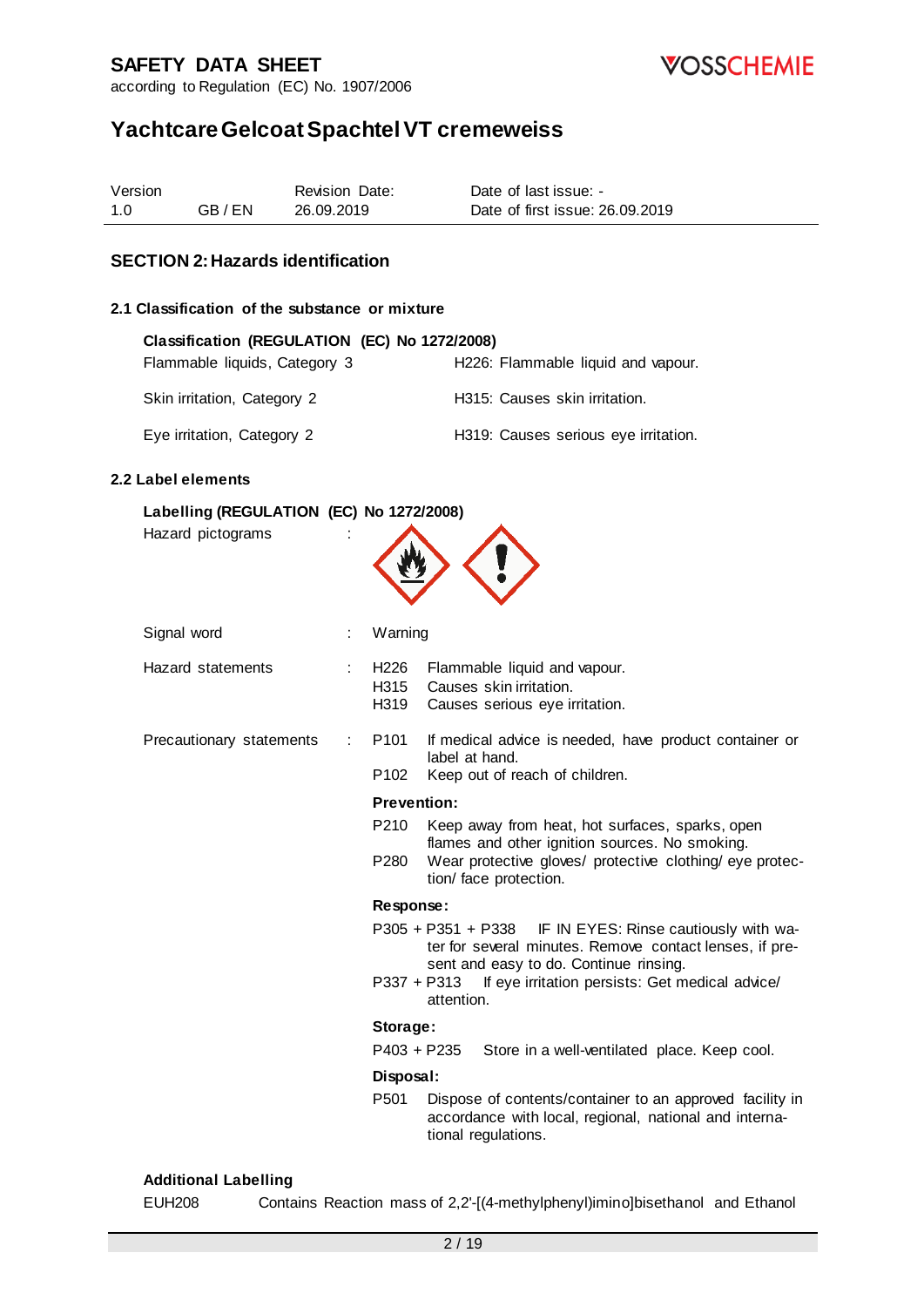

according to Regulation (EC) No. 1907/2006

# **Yachtcare Gelcoat Spachtel VT cremeweiss**

| Version |       | <b>Revision Date:</b> | Date of last issue: -           |
|---------|-------|-----------------------|---------------------------------|
| 1.0     | GB/EN | 26.09.2019            | Date of first issue: 26.09.2019 |

#### **SECTION 2: Hazards identification**

#### **2.1 Classification of the substance or mixture**

| Classification (REGULATION (EC) No 1272/2008) |                                      |
|-----------------------------------------------|--------------------------------------|
| Flammable liquids, Category 3                 | H226: Flammable liquid and vapour.   |
| Skin irritation, Category 2                   | H315: Causes skin irritation.        |
| Eye irritation, Category 2                    | H319: Causes serious eye irritation. |

#### **2.2 Label elements**

#### **Labelling (REGULATION (EC) No 1272/2008)**

Hazard pictograms



| Signal word                   | Warning          |                                                                                                                                                               |
|-------------------------------|------------------|---------------------------------------------------------------------------------------------------------------------------------------------------------------|
| Hazard statements             | H226<br>H315     | Flammable liquid and vapour.<br>Causes skin irritation.<br>H319 Causes serious eye irritation.                                                                |
| Precautionary statements<br>÷ | P101             | If medical advice is needed, have product container or<br>label at hand.                                                                                      |
|                               | P <sub>102</sub> | Keep out of reach of children.                                                                                                                                |
|                               |                  | <b>Prevention:</b>                                                                                                                                            |
|                               | P210             | Keep away from heat, hot surfaces, sparks, open<br>flames and other ignition sources. No smoking.                                                             |
|                               | P280             | Wear protective gloves/ protective clothing/ eye protec-<br>tion/ face protection.                                                                            |
|                               | Response:        |                                                                                                                                                               |
|                               |                  | P305 + P351 + P338 IF IN EYES: Rinse cautiously with wa-<br>ter for several minutes. Remove contact lenses, if pre-<br>sent and easy to do. Continue rinsing. |
|                               |                  | If eye irritation persists: Get medical advice/<br>P337 + P313<br>attention.                                                                                  |
|                               | Storage:         |                                                                                                                                                               |
|                               |                  | P403 + P235<br>Store in a well-ventilated place. Keep cool.                                                                                                   |
|                               | Disposal:        |                                                                                                                                                               |
|                               | P <sub>501</sub> | Dispose of contents/container to an approved facility in<br>accordance with local, regional, national and interna-<br>tional regulations.                     |

#### **Additional Labelling**

EUH208 Contains Reaction mass of 2,2'-[(4-methylphenyl)imino]bisethanol and Ethanol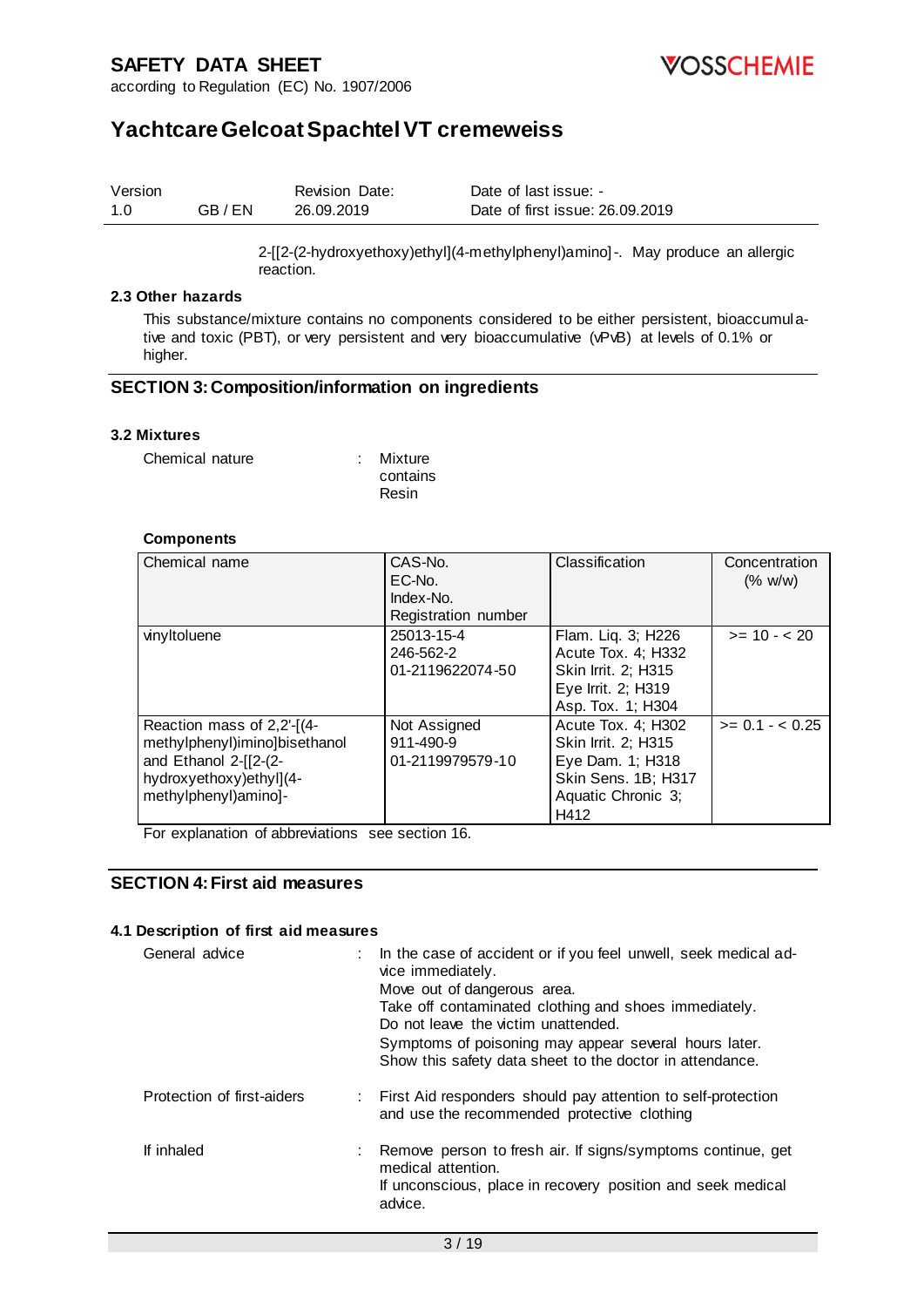

## **Yachtcare Gelcoat Spachtel VT cremeweiss**

| Version |         | <b>Revision Date:</b> | Date of last issue: -           |
|---------|---------|-----------------------|---------------------------------|
| 1.0     | GB / EN | 26.09.2019            | Date of first issue: 26.09.2019 |

2-[[2-(2-hydroxyethoxy)ethyl](4-methylphenyl)amino]-. May produce an allergic reaction.

#### **2.3 Other hazards**

This substance/mixture contains no components considered to be either persistent, bioaccumulative and toxic (PBT), or very persistent and very bioaccumulative (vPvB) at levels of 0.1% or higher.

#### **SECTION 3: Composition/information on ingredients**

#### **3.2 Mixtures**

| Chemical nature | : Mixture |
|-----------------|-----------|
|                 | contains  |
|                 | Resin     |

#### **Components**

| Chemical name                                                                                                                           | CAS-No.<br>EC-No.<br>Index-No.<br>Registration number | Classification                                                                                                     | Concentration<br>(% w/w) |
|-----------------------------------------------------------------------------------------------------------------------------------------|-------------------------------------------------------|--------------------------------------------------------------------------------------------------------------------|--------------------------|
| vinyltoluene                                                                                                                            | 25013-15-4<br>246-562-2<br>01-2119622074-50           | Flam. Liq. 3; H226<br>Acute Tox. 4; H332<br>Skin Irrit. 2; H315<br>Eye Irrit. 2; H319<br>Asp. Tox. 1; H304         | $>= 10 - 20$             |
| Reaction mass of 2,2'-[(4-<br>methylphenyl)imino]bisethanol<br>and Ethanol 2-[[2-(2-<br>hydroxyethoxy)ethyl](4-<br>methylphenyl)amino]- | Not Assigned<br>911-490-9<br>01-2119979579-10         | Acute Tox. 4: H302<br>Skin Irrit. 2; H315<br>Eye Dam. 1; H318<br>Skin Sens. 1B; H317<br>Aquatic Chronic 3;<br>H412 | $>= 0.1 - < 0.25$        |

For explanation of abbreviations see section 16.

### **SECTION 4: First aid measures**

#### **4.1 Description of first aid measures**

| General advice             | : In the case of accident or if you feel unwell, seek medical ad-<br>vice immediately.<br>Move out of dangerous area.<br>Take off contaminated clothing and shoes immediately.<br>Do not leave the victim unattended.<br>Symptoms of poisoning may appear several hours later.<br>Show this safety data sheet to the doctor in attendance. |
|----------------------------|--------------------------------------------------------------------------------------------------------------------------------------------------------------------------------------------------------------------------------------------------------------------------------------------------------------------------------------------|
| Protection of first-aiders | : First Aid responders should pay attention to self-protection<br>and use the recommended protective clothing                                                                                                                                                                                                                              |
| If inhaled                 | Remove person to fresh air. If signs/symptoms continue, get<br>medical attention.<br>If unconscious, place in recovery position and seek medical<br>advice.                                                                                                                                                                                |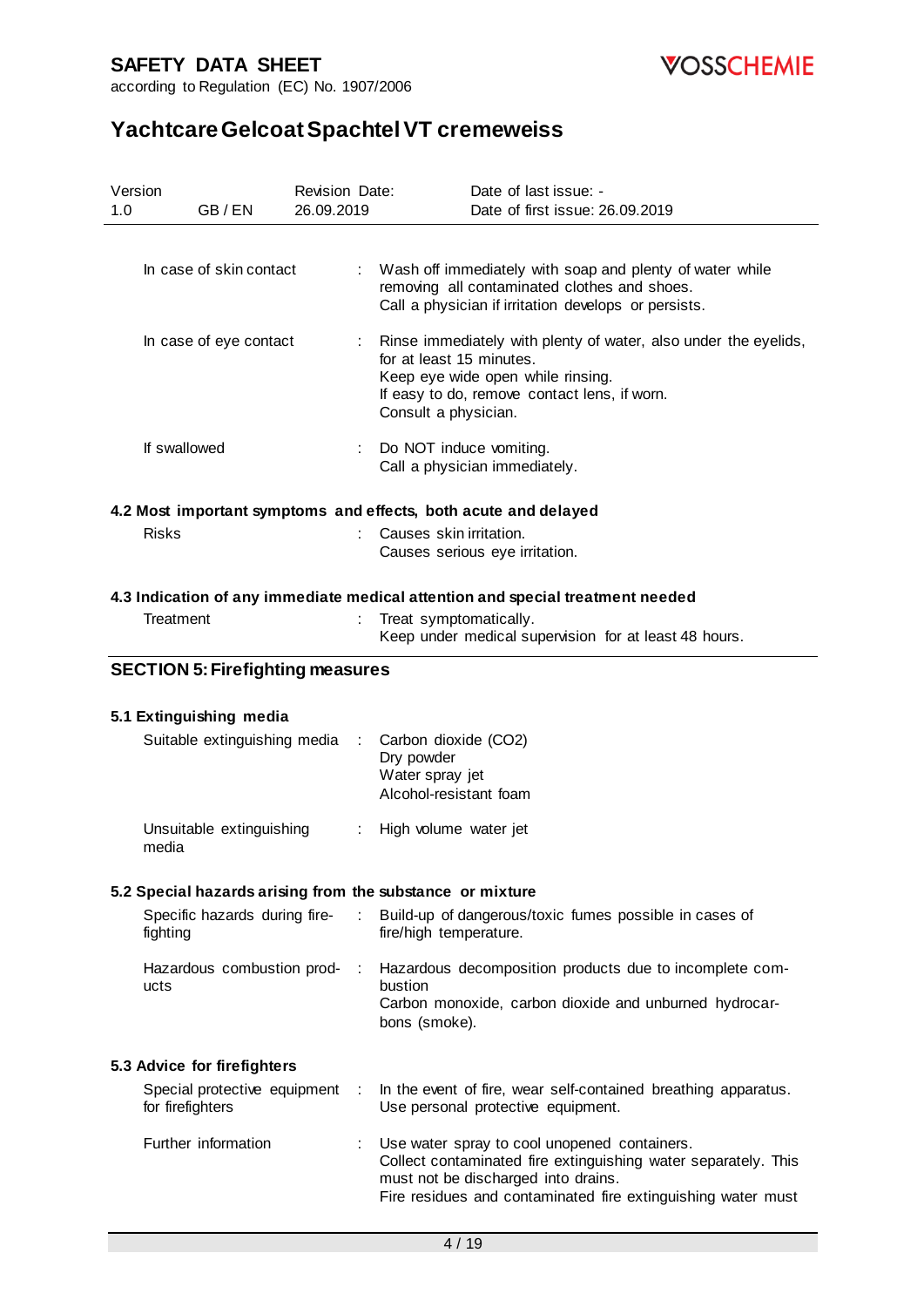

**VOSSCHEMIE** 

|     | Version                                          | Revision Date: | Date of last issue: -                                                                                                                                                                                                 |
|-----|--------------------------------------------------|----------------|-----------------------------------------------------------------------------------------------------------------------------------------------------------------------------------------------------------------------|
| 1.0 | GB/EN                                            | 26.09.2019     | Date of first issue: 26.09.2019                                                                                                                                                                                       |
|     |                                                  |                |                                                                                                                                                                                                                       |
|     | In case of skin contact                          |                | Wash off immediately with soap and plenty of water while<br>removing all contaminated clothes and shoes.<br>Call a physician if irritation develops or persists.                                                      |
|     | In case of eye contact                           |                | Rinse immediately with plenty of water, also under the eyelids,<br>for at least 15 minutes.<br>Keep eye wide open while rinsing.<br>If easy to do, remove contact lens, if worn.<br>Consult a physician.              |
|     | If swallowed                                     | ÷.             | Do NOT induce vomiting.<br>Call a physician immediately.                                                                                                                                                              |
|     |                                                  |                | 4.2 Most important symptoms and effects, both acute and delayed                                                                                                                                                       |
|     | <b>Risks</b>                                     |                | Causes skin irritation.<br>Causes serious eye irritation.                                                                                                                                                             |
|     |                                                  |                | 4.3 Indication of any immediate medical attention and special treatment needed                                                                                                                                        |
|     | Treatment                                        |                | Treat symptomatically.<br>Keep under medical supervision for at least 48 hours.                                                                                                                                       |
|     | <b>SECTION 5: Firefighting measures</b>          |                |                                                                                                                                                                                                                       |
|     |                                                  |                |                                                                                                                                                                                                                       |
|     | 5.1 Extinguishing media                          |                |                                                                                                                                                                                                                       |
|     | Suitable extinguishing media                     |                | Carbon dioxide (CO2)<br>Dry powder<br>Water spray jet<br>Alcohol-resistant foam                                                                                                                                       |
|     | Unsuitable extinguishing<br>media                |                | High volume water jet                                                                                                                                                                                                 |
|     |                                                  |                | 5.2 Special hazards arising from the substance or mixture                                                                                                                                                             |
|     | Specific hazards during fire-<br>fighting        | ÷.             | Build-up of dangerous/toxic fumes possible in cases of<br>fire/high temperature.                                                                                                                                      |
|     | Hazardous combustion prod-<br>ucts               | $\mathcal{L}$  | Hazardous decomposition products due to incomplete com-<br>bustion<br>Carbon monoxide, carbon dioxide and unburned hydrocar-<br>bons (smoke).                                                                         |
|     |                                                  |                |                                                                                                                                                                                                                       |
|     | 5.3 Advice for firefighters                      |                |                                                                                                                                                                                                                       |
|     | Special protective equipment<br>for firefighters | $\mathbb{R}^2$ | In the event of fire, wear self-contained breathing apparatus.<br>Use personal protective equipment.                                                                                                                  |
|     | Further information                              |                | Use water spray to cool unopened containers.<br>Collect contaminated fire extinguishing water separately. This<br>must not be discharged into drains.<br>Fire residues and contaminated fire extinguishing water must |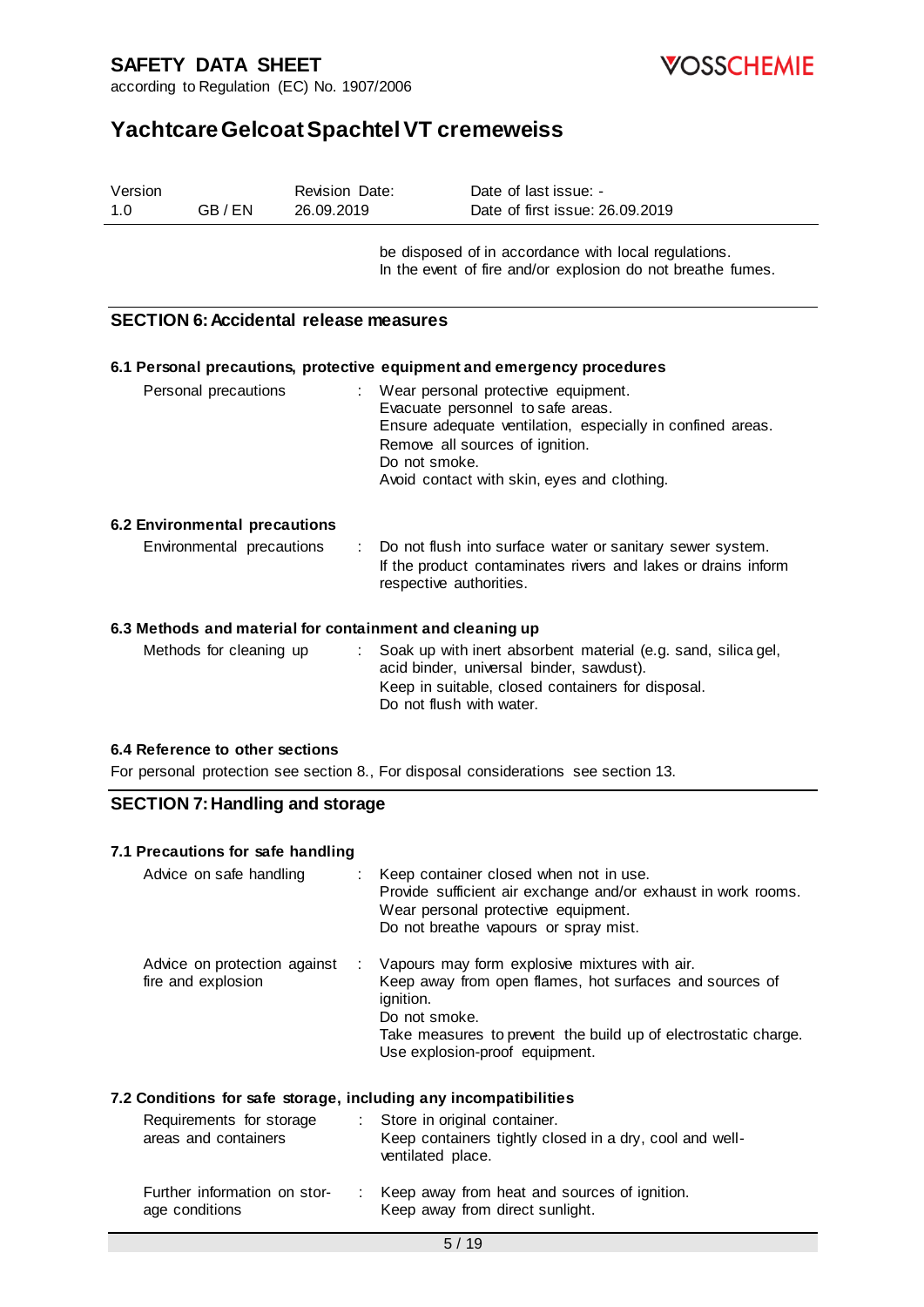

**VOSSCHEMIE** 

# **Yachtcare Gelcoat Spachtel VT cremeweiss**

| Version<br>1.0 | GB/EN                                              | Revision Date:<br>26.09.2019 | Date of last issue: -<br>Date of first issue: 26.09.2019                                                                                                                                                                                   |
|----------------|----------------------------------------------------|------------------------------|--------------------------------------------------------------------------------------------------------------------------------------------------------------------------------------------------------------------------------------------|
|                |                                                    |                              | be disposed of in accordance with local regulations.<br>In the event of fire and/or explosion do not breathe fumes.                                                                                                                        |
|                | <b>SECTION 6: Accidental release measures</b>      |                              |                                                                                                                                                                                                                                            |
|                |                                                    |                              | 6.1 Personal precautions, protective equipment and emergency procedures                                                                                                                                                                    |
|                | Personal precautions                               |                              | Wear personal protective equipment.<br>Evacuate personnel to safe areas.<br>Ensure adequate ventilation, especially in confined areas.<br>Remove all sources of ignition.<br>Do not smoke.<br>Avoid contact with skin, eyes and clothing.  |
|                | 6.2 Environmental precautions                      |                              |                                                                                                                                                                                                                                            |
|                | Environmental precautions                          |                              | Do not flush into surface water or sanitary sewer system.<br>If the product contaminates rivers and lakes or drains inform<br>respective authorities.                                                                                      |
|                |                                                    |                              | 6.3 Methods and material for containment and cleaning up                                                                                                                                                                                   |
|                | Methods for cleaning up                            |                              | Soak up with inert absorbent material (e.g. sand, silica gel,<br>acid binder, universal binder, sawdust).<br>Keep in suitable, closed containers for disposal.<br>Do not flush with water.                                                 |
|                | 6.4 Reference to other sections                    |                              |                                                                                                                                                                                                                                            |
|                |                                                    |                              | For personal protection see section 8., For disposal considerations see section 13.                                                                                                                                                        |
|                | <b>SECTION 7: Handling and storage</b>             |                              |                                                                                                                                                                                                                                            |
|                | 7.1 Precautions for safe handling                  |                              |                                                                                                                                                                                                                                            |
|                | Advice on safe handling                            |                              | Keep container closed when not in use.<br>Provide sufficient air exchange and/or exhaust in work rooms.<br>Wear personal protective equipment.<br>Do not breathe vapours or spray mist.                                                    |
|                | Advice on protection against<br>fire and explosion |                              | Vapours may form explosive mixtures with air.<br>Keep away from open flames, hot surfaces and sources of<br>ignition.<br>Do not smoke.<br>Take measures to prevent the build up of electrostatic charge.<br>Use explosion-proof equipment. |
|                |                                                    |                              |                                                                                                                                                                                                                                            |

## **7.2 Conditions for safe storage, including any incompatibilities**

| Requirements for storage<br>areas and containers | : Store in original container.<br>Keep containers tightly closed in a dry, cool and well-<br>ventilated place. |
|--------------------------------------------------|----------------------------------------------------------------------------------------------------------------|
| Further information on stor-<br>age conditions   | : Keep away from heat and sources of ignition.<br>Keep away from direct sunlight.                              |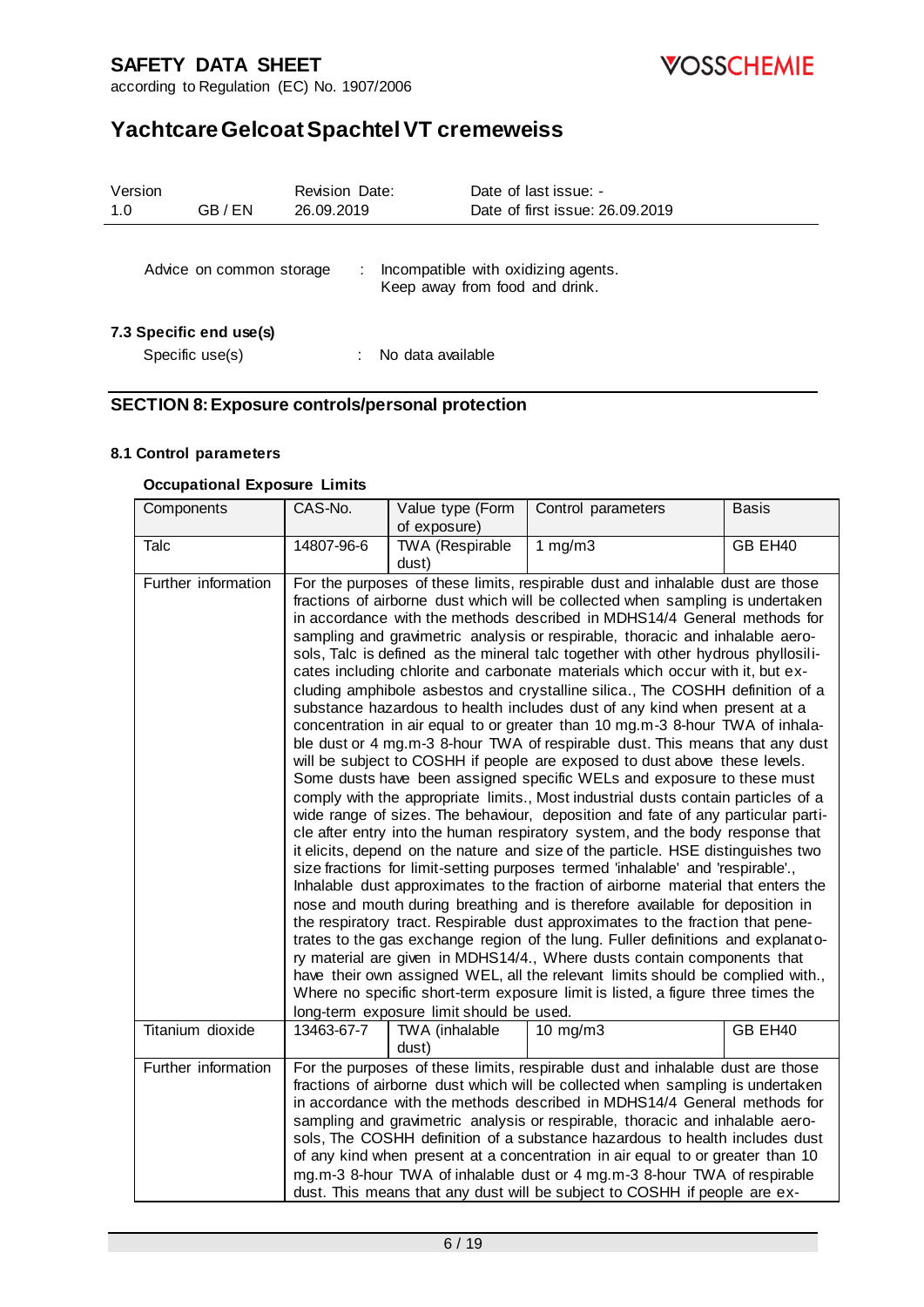**VOSSCHEMIE** 

according to Regulation (EC) No. 1907/2006

# **Yachtcare Gelcoat Spachtel VT cremeweiss**

| Version<br>1.0 | GB / EN                                    | <b>Revision Date:</b><br>26.09.2019 | Date of last issue: -<br>Date of first issue: 26.09.2019              |
|----------------|--------------------------------------------|-------------------------------------|-----------------------------------------------------------------------|
|                | Advice on common storage                   | ÷                                   | Incompatible with oxidizing agents.<br>Keep away from food and drink. |
|                | 7.3 Specific end use(s)<br>Specific use(s) |                                     | No data available                                                     |

### **SECTION 8: Exposure controls/personal protection**

#### **8.1 Control parameters**

#### **Occupational Exposure Limits**

| Components                              | CAS-No.                                                                                                                                                                                                                                                                                                                                                                                                                                                                                                                                                                                                                                                                                                                                                                                                                                                                                                                                                                                                                                                                                                                                                                                                                                                                                                                                                                                                                                                                                                                                                                                                                                                                                                                                                                                                                                                                                                                                                                                                                                                                                                                           | Value type (Form                                | Control parameters | <b>Basis</b> |  |
|-----------------------------------------|-----------------------------------------------------------------------------------------------------------------------------------------------------------------------------------------------------------------------------------------------------------------------------------------------------------------------------------------------------------------------------------------------------------------------------------------------------------------------------------------------------------------------------------------------------------------------------------------------------------------------------------------------------------------------------------------------------------------------------------------------------------------------------------------------------------------------------------------------------------------------------------------------------------------------------------------------------------------------------------------------------------------------------------------------------------------------------------------------------------------------------------------------------------------------------------------------------------------------------------------------------------------------------------------------------------------------------------------------------------------------------------------------------------------------------------------------------------------------------------------------------------------------------------------------------------------------------------------------------------------------------------------------------------------------------------------------------------------------------------------------------------------------------------------------------------------------------------------------------------------------------------------------------------------------------------------------------------------------------------------------------------------------------------------------------------------------------------------------------------------------------------|-------------------------------------------------|--------------------|--------------|--|
| Talc                                    | 14807-96-6                                                                                                                                                                                                                                                                                                                                                                                                                                                                                                                                                                                                                                                                                                                                                                                                                                                                                                                                                                                                                                                                                                                                                                                                                                                                                                                                                                                                                                                                                                                                                                                                                                                                                                                                                                                                                                                                                                                                                                                                                                                                                                                        | of exposure)<br><b>TWA (Respirable</b><br>dust) | 1 mg/m $3$         | GB EH40      |  |
| Further information<br>Titanium dioxide | For the purposes of these limits, respirable dust and inhalable dust are those<br>fractions of airborne dust which will be collected when sampling is undertaken<br>in accordance with the methods described in MDHS14/4 General methods for<br>sampling and gravimetric analysis or respirable, thoracic and inhalable aero-<br>sols, Talc is defined as the mineral talc together with other hydrous phyllosili-<br>cates including chlorite and carbonate materials which occur with it, but ex-<br>cluding amphibole asbestos and crystalline silica., The COSHH definition of a<br>substance hazardous to health includes dust of any kind when present at a<br>concentration in air equal to or greater than 10 mg.m-3 8-hour TWA of inhala-<br>ble dust or 4 mg.m-3 8-hour TWA of respirable dust. This means that any dust<br>will be subject to COSHH if people are exposed to dust above these levels.<br>Some dusts have been assigned specific WELs and exposure to these must<br>comply with the appropriate limits., Most industrial dusts contain particles of a<br>wide range of sizes. The behaviour, deposition and fate of any particular parti-<br>cle after entry into the human respiratory system, and the body response that<br>it elicits, depend on the nature and size of the particle. HSE distinguishes two<br>size fractions for limit-setting purposes termed 'inhalable' and 'respirable'.,<br>Inhalable dust approximates to the fraction of airborne material that enters the<br>nose and mouth during breathing and is therefore available for deposition in<br>the respiratory tract. Respirable dust approximates to the fraction that pene-<br>trates to the gas exchange region of the lung. Fuller definitions and explanato-<br>ry material are given in MDHS14/4., Where dusts contain components that<br>have their own assigned WEL, all the relevant limits should be complied with.,<br>Where no specific short-term exposure limit is listed, a figure three times the<br>long-term exposure limit should be used.<br>GB EH40<br>TWA (inhalable<br>13463-67-7<br>$10 \text{ mg/m}$ |                                                 |                    |              |  |
|                                         |                                                                                                                                                                                                                                                                                                                                                                                                                                                                                                                                                                                                                                                                                                                                                                                                                                                                                                                                                                                                                                                                                                                                                                                                                                                                                                                                                                                                                                                                                                                                                                                                                                                                                                                                                                                                                                                                                                                                                                                                                                                                                                                                   | dust)                                           |                    |              |  |
| Further information                     | For the purposes of these limits, respirable dust and inhalable dust are those<br>fractions of airborne dust which will be collected when sampling is undertaken<br>in accordance with the methods described in MDHS14/4 General methods for<br>sampling and gravimetric analysis or respirable, thoracic and inhalable aero-<br>sols, The COSHH definition of a substance hazardous to health includes dust<br>of any kind when present at a concentration in air equal to or greater than 10<br>mg.m-3 8-hour TWA of inhalable dust or 4 mg.m-3 8-hour TWA of respirable<br>dust. This means that any dust will be subject to COSHH if people are ex-                                                                                                                                                                                                                                                                                                                                                                                                                                                                                                                                                                                                                                                                                                                                                                                                                                                                                                                                                                                                                                                                                                                                                                                                                                                                                                                                                                                                                                                                           |                                                 |                    |              |  |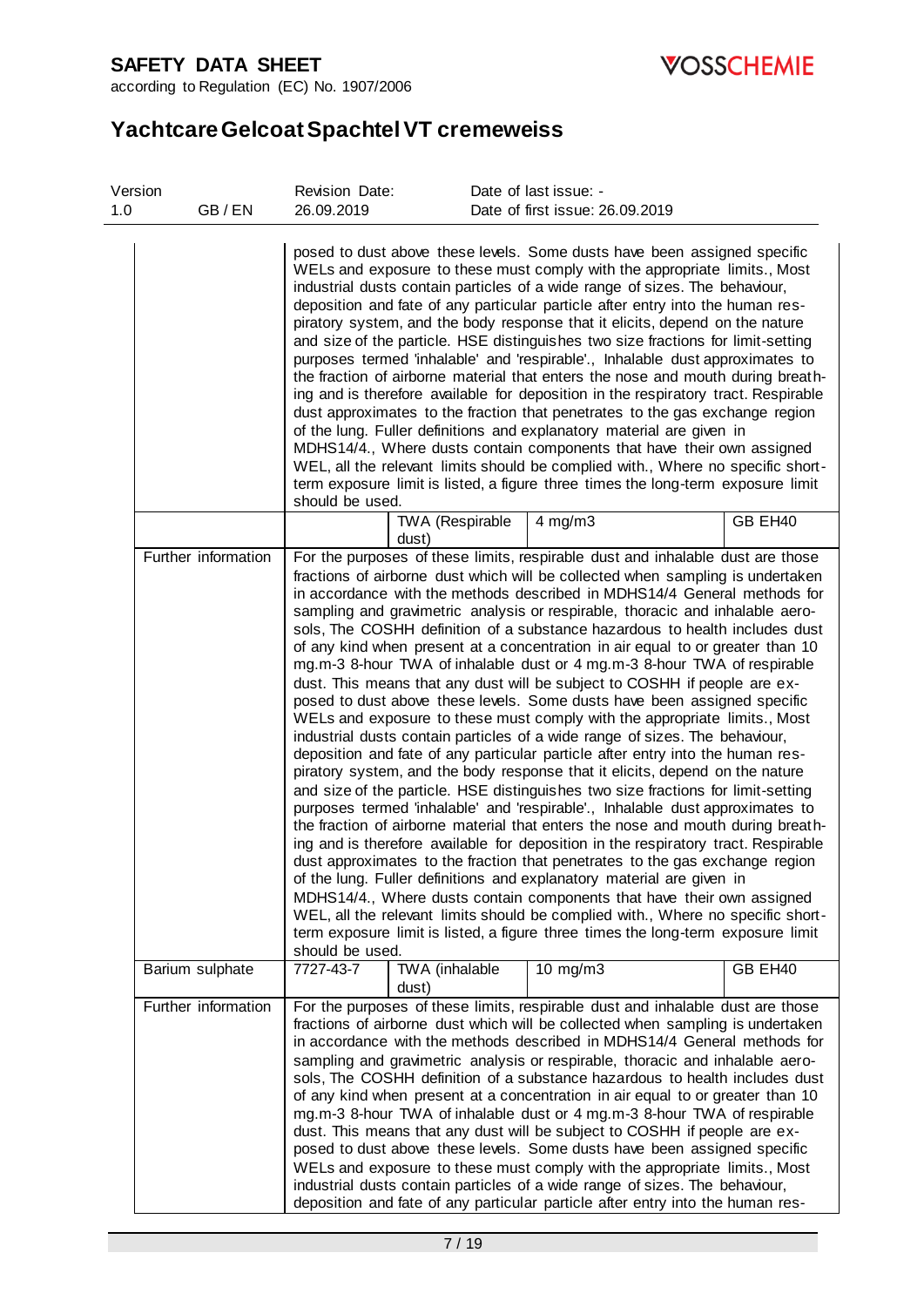

according to Regulation (EC) No. 1907/2006

| Version<br>1.0 | GB/EN               | Revision Date:<br>26.09.2019 |                          | Date of last issue: -<br>Date of first issue: 26.09.2019                                                                                                                                                                                                                                                                                                                                                                                                                                                                                                                                                                                                                                                                                                                                                                                                                                                                                                                                                                                                                                                                                                                                                                                                                                                                                                                                                                                                                                                                                                                                                                                                                                                                                                                                                                  |         |
|----------------|---------------------|------------------------------|--------------------------|---------------------------------------------------------------------------------------------------------------------------------------------------------------------------------------------------------------------------------------------------------------------------------------------------------------------------------------------------------------------------------------------------------------------------------------------------------------------------------------------------------------------------------------------------------------------------------------------------------------------------------------------------------------------------------------------------------------------------------------------------------------------------------------------------------------------------------------------------------------------------------------------------------------------------------------------------------------------------------------------------------------------------------------------------------------------------------------------------------------------------------------------------------------------------------------------------------------------------------------------------------------------------------------------------------------------------------------------------------------------------------------------------------------------------------------------------------------------------------------------------------------------------------------------------------------------------------------------------------------------------------------------------------------------------------------------------------------------------------------------------------------------------------------------------------------------------|---------|
|                |                     | should be used.              |                          | posed to dust above these levels. Some dusts have been assigned specific<br>WELs and exposure to these must comply with the appropriate limits., Most<br>industrial dusts contain particles of a wide range of sizes. The behaviour,<br>deposition and fate of any particular particle after entry into the human res-<br>piratory system, and the body response that it elicits, depend on the nature<br>and size of the particle. HSE distinguishes two size fractions for limit-setting<br>purposes termed 'inhalable' and 'respirable'., Inhalable dust approximates to<br>the fraction of airborne material that enters the nose and mouth during breath-<br>ing and is therefore available for deposition in the respiratory tract. Respirable<br>dust approximates to the fraction that penetrates to the gas exchange region<br>of the lung. Fuller definitions and explanatory material are given in<br>MDHS14/4., Where dusts contain components that have their own assigned<br>WEL, all the relevant limits should be complied with., Where no specific short-<br>term exposure limit is listed, a figure three times the long-term exposure limit                                                                                                                                                                                                                                                                                                                                                                                                                                                                                                                                                                                                                                                            |         |
|                |                     |                              | TWA (Respirable<br>dust) | $4$ mg/m $3$                                                                                                                                                                                                                                                                                                                                                                                                                                                                                                                                                                                                                                                                                                                                                                                                                                                                                                                                                                                                                                                                                                                                                                                                                                                                                                                                                                                                                                                                                                                                                                                                                                                                                                                                                                                                              | GB EH40 |
|                | Further information | should be used.              |                          | For the purposes of these limits, respirable dust and inhalable dust are those<br>fractions of airborne dust which will be collected when sampling is undertaken<br>in accordance with the methods described in MDHS14/4 General methods for<br>sampling and gravimetric analysis or respirable, thoracic and inhalable aero-<br>sols, The COSHH definition of a substance hazardous to health includes dust<br>of any kind when present at a concentration in air equal to or greater than 10<br>mg.m-3 8-hour TWA of inhalable dust or 4 mg.m-3 8-hour TWA of respirable<br>dust. This means that any dust will be subject to COSHH if people are ex-<br>posed to dust above these levels. Some dusts have been assigned specific<br>WELs and exposure to these must comply with the appropriate limits., Most<br>industrial dusts contain particles of a wide range of sizes. The behaviour,<br>deposition and fate of any particular particle after entry into the human res-<br>piratory system, and the body response that it elicits, depend on the nature<br>and size of the particle. HSE distinguishes two size fractions for limit-setting<br>purposes termed 'inhalable' and 'respirable'., Inhalable dust approximates to<br>the fraction of airborne material that enters the nose and mouth during breath-<br>ing and is therefore available for deposition in the respiratory tract. Respirable<br>dust approximates to the fraction that penetrates to the gas exchange region<br>of the lung. Fuller definitions and explanatory material are given in<br>MDHS14/4., Where dusts contain components that have their own assigned<br>WEL, all the relevant limits should be complied with., Where no specific short-<br>term exposure limit is listed, a figure three times the long-term exposure limit |         |
|                | Barium sulphate     | 7727-43-7                    | TWA (inhalable<br>dust)  | $10 \text{ mg/m}$                                                                                                                                                                                                                                                                                                                                                                                                                                                                                                                                                                                                                                                                                                                                                                                                                                                                                                                                                                                                                                                                                                                                                                                                                                                                                                                                                                                                                                                                                                                                                                                                                                                                                                                                                                                                         | GB EH40 |
|                | Further information |                              |                          | For the purposes of these limits, respirable dust and inhalable dust are those<br>fractions of airborne dust which will be collected when sampling is undertaken<br>in accordance with the methods described in MDHS14/4 General methods for<br>sampling and gravimetric analysis or respirable, thoracic and inhalable aero-<br>sols, The COSHH definition of a substance hazardous to health includes dust<br>of any kind when present at a concentration in air equal to or greater than 10<br>mg.m-3 8-hour TWA of inhalable dust or 4 mg.m-3 8-hour TWA of respirable<br>dust. This means that any dust will be subject to COSHH if people are ex-<br>posed to dust above these levels. Some dusts have been assigned specific<br>WELs and exposure to these must comply with the appropriate limits., Most<br>industrial dusts contain particles of a wide range of sizes. The behaviour,<br>deposition and fate of any particular particle after entry into the human res-                                                                                                                                                                                                                                                                                                                                                                                                                                                                                                                                                                                                                                                                                                                                                                                                                                         |         |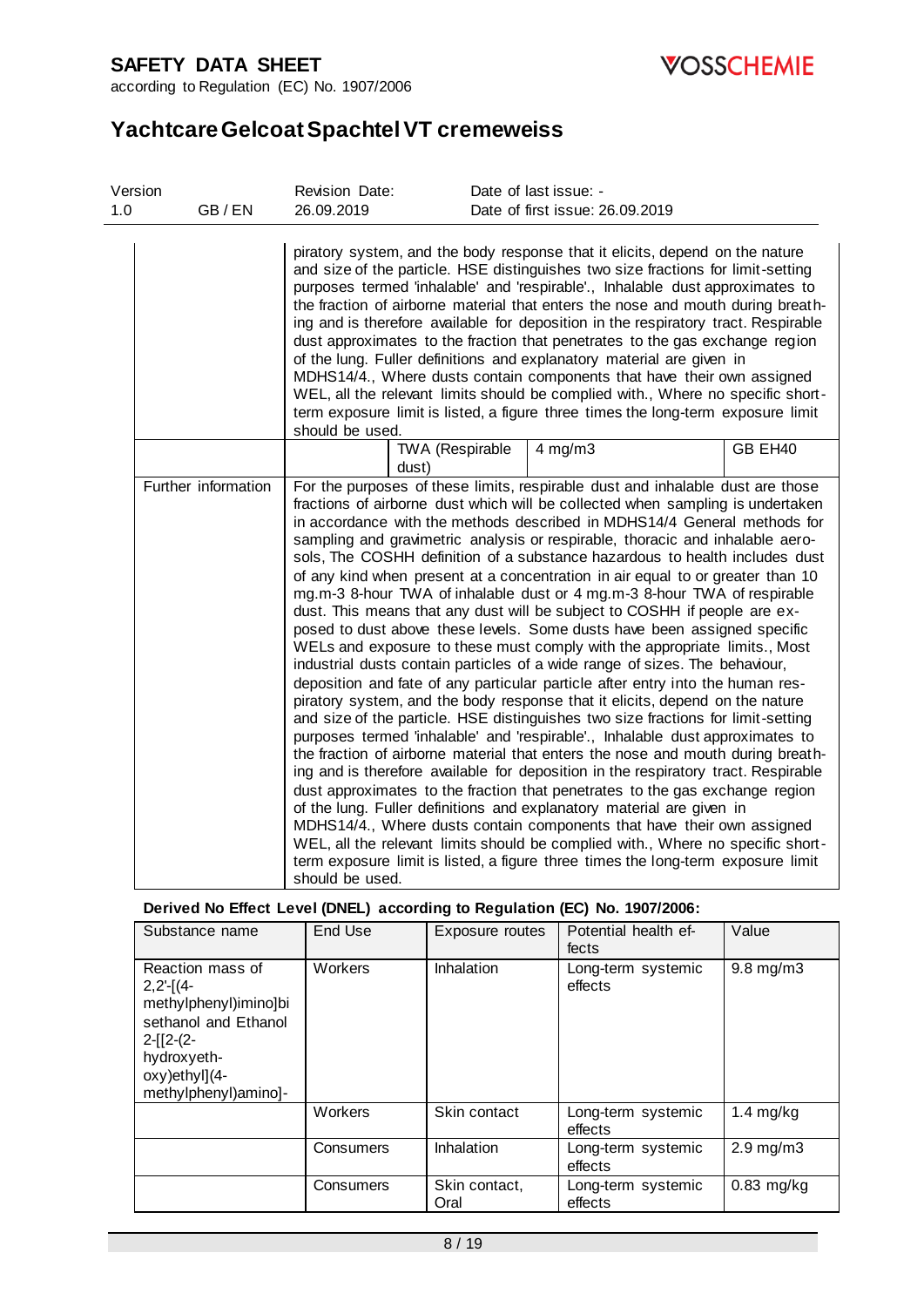

according to Regulation (EC) No. 1907/2006

# **Yachtcare Gelcoat Spachtel VT cremeweiss**

| Version |                     | Revision Date:  |                          | Date of last issue: -                                                                                                                                                                                                                                                                                                                                                                                                                                                                                                                                                                                                                                                                                                                                                                                                                                                                                                                                                                                                                                                                                                                                                                                                                                                                                                                                                                                                                                                                                                                                                                                                                                                                                                                                                                                                     |         |
|---------|---------------------|-----------------|--------------------------|---------------------------------------------------------------------------------------------------------------------------------------------------------------------------------------------------------------------------------------------------------------------------------------------------------------------------------------------------------------------------------------------------------------------------------------------------------------------------------------------------------------------------------------------------------------------------------------------------------------------------------------------------------------------------------------------------------------------------------------------------------------------------------------------------------------------------------------------------------------------------------------------------------------------------------------------------------------------------------------------------------------------------------------------------------------------------------------------------------------------------------------------------------------------------------------------------------------------------------------------------------------------------------------------------------------------------------------------------------------------------------------------------------------------------------------------------------------------------------------------------------------------------------------------------------------------------------------------------------------------------------------------------------------------------------------------------------------------------------------------------------------------------------------------------------------------------|---------|
| 1.0     | GB/EN               | 26.09.2019      |                          | Date of first issue: 26.09.2019                                                                                                                                                                                                                                                                                                                                                                                                                                                                                                                                                                                                                                                                                                                                                                                                                                                                                                                                                                                                                                                                                                                                                                                                                                                                                                                                                                                                                                                                                                                                                                                                                                                                                                                                                                                           |         |
|         |                     | should be used. |                          | piratory system, and the body response that it elicits, depend on the nature<br>and size of the particle. HSE distinguishes two size fractions for limit-setting<br>purposes termed 'inhalable' and 'respirable'., Inhalable dust approximates to<br>the fraction of airborne material that enters the nose and mouth during breath-<br>ing and is therefore available for deposition in the respiratory tract. Respirable<br>dust approximates to the fraction that penetrates to the gas exchange region<br>of the lung. Fuller definitions and explanatory material are given in<br>MDHS14/4., Where dusts contain components that have their own assigned<br>WEL, all the relevant limits should be complied with., Where no specific short-<br>term exposure limit is listed, a figure three times the long-term exposure limit                                                                                                                                                                                                                                                                                                                                                                                                                                                                                                                                                                                                                                                                                                                                                                                                                                                                                                                                                                                      |         |
|         |                     |                 | TWA (Respirable<br>dust) | $4$ mg/m $3$                                                                                                                                                                                                                                                                                                                                                                                                                                                                                                                                                                                                                                                                                                                                                                                                                                                                                                                                                                                                                                                                                                                                                                                                                                                                                                                                                                                                                                                                                                                                                                                                                                                                                                                                                                                                              | GB EH40 |
|         | Further information | should be used. |                          | For the purposes of these limits, respirable dust and inhalable dust are those<br>fractions of airborne dust which will be collected when sampling is undertaken<br>in accordance with the methods described in MDHS14/4 General methods for<br>sampling and gravimetric analysis or respirable, thoracic and inhalable aero-<br>sols, The COSHH definition of a substance hazardous to health includes dust<br>of any kind when present at a concentration in air equal to or greater than 10<br>mg.m-3 8-hour TWA of inhalable dust or 4 mg.m-3 8-hour TWA of respirable<br>dust. This means that any dust will be subject to COSHH if people are ex-<br>posed to dust above these levels. Some dusts have been assigned specific<br>WELs and exposure to these must comply with the appropriate limits., Most<br>industrial dusts contain particles of a wide range of sizes. The behaviour,<br>deposition and fate of any particular particle after entry into the human res-<br>piratory system, and the body response that it elicits, depend on the nature<br>and size of the particle. HSE distinguishes two size fractions for limit-setting<br>purposes termed 'inhalable' and 'respirable'., Inhalable dust approximates to<br>the fraction of airborne material that enters the nose and mouth during breath-<br>ing and is therefore available for deposition in the respiratory tract. Respirable<br>dust approximates to the fraction that penetrates to the gas exchange region<br>of the lung. Fuller definitions and explanatory material are given in<br>MDHS14/4., Where dusts contain components that have their own assigned<br>WEL, all the relevant limits should be complied with., Where no specific short-<br>term exposure limit is listed, a figure three times the long-term exposure limit |         |

### **Derived No Effect Level (DNEL) according to Regulation (EC) No. 1907/2006:**

| Substance name                                                                                                                                               | End Use   | Exposure routes       | Potential health ef-<br>fects | Value              |
|--------------------------------------------------------------------------------------------------------------------------------------------------------------|-----------|-----------------------|-------------------------------|--------------------|
| Reaction mass of<br>$2,2-\lceil$ (4-<br>methylphenyl)imino]bi<br>sethanol and Ethanol<br>$2-[12-(2-$<br>hydroxyeth-<br>oxy)ethyl](4-<br>methylphenyl)amino]- | Workers   | Inhalation            | Long-term systemic<br>effects | $9.8$ mg/m $3$     |
|                                                                                                                                                              | Workers   | Skin contact          | Long-term systemic<br>effects | 1.4 $mg/kg$        |
|                                                                                                                                                              | Consumers | Inhalation            | Long-term systemic<br>effects | $2.9 \text{ mg/m}$ |
|                                                                                                                                                              | Consumers | Skin contact,<br>Oral | Long-term systemic<br>effects | $0.83$ mg/kg       |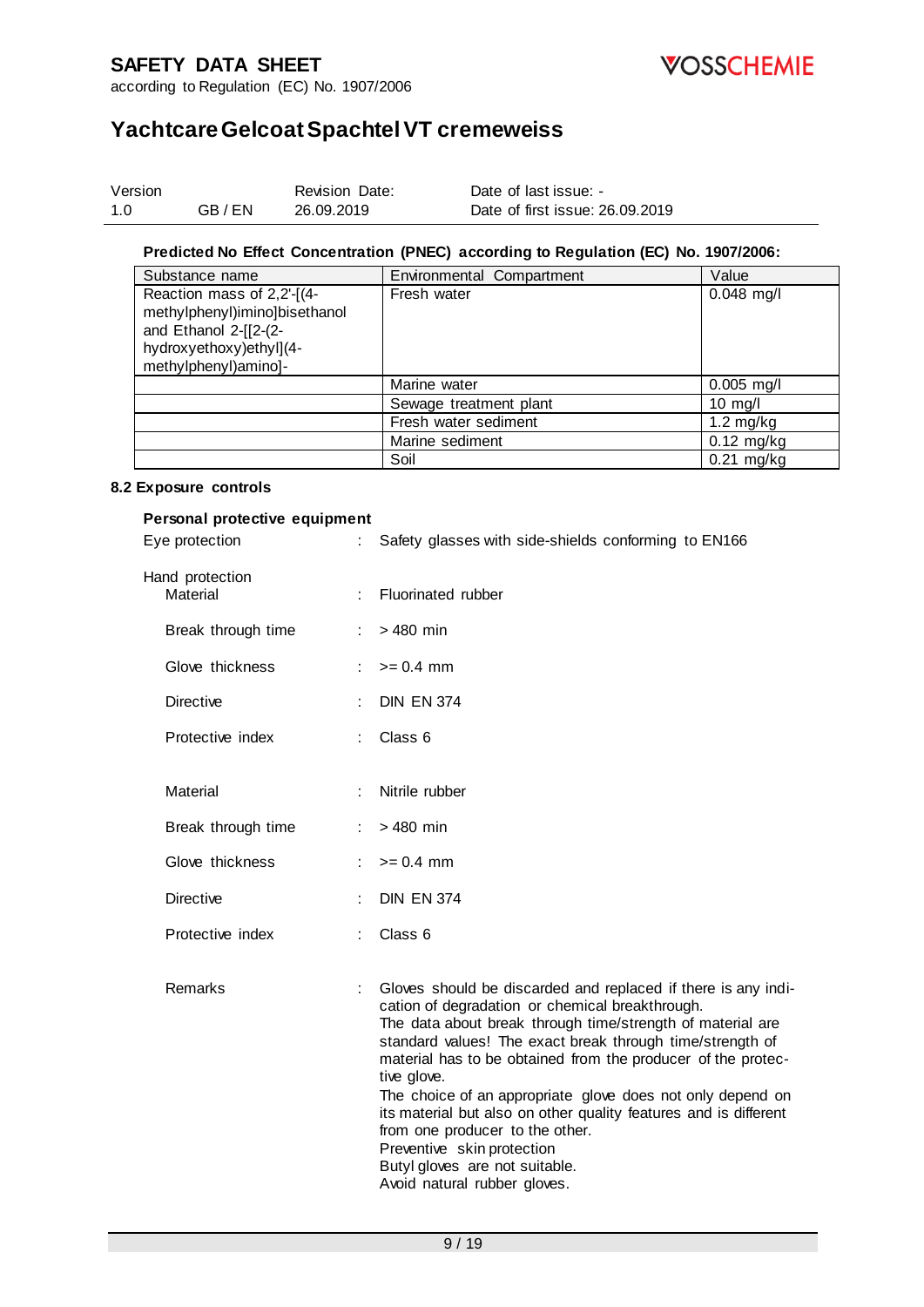

according to Regulation (EC) No. 1907/2006

# **Yachtcare Gelcoat Spachtel VT cremeweiss**

| Version |       | <b>Revision Date:</b> | Date of last issue: -           |
|---------|-------|-----------------------|---------------------------------|
| 1.0     | GB/EN | 26.09.2019            | Date of first issue: 26.09.2019 |

#### **Predicted No Effect Concentration (PNEC) according to Regulation (EC) No. 1907/2006:**

| Substance name                                                                       | Environmental Compartment | Value               |
|--------------------------------------------------------------------------------------|---------------------------|---------------------|
| Reaction mass of 2,2'-[(4-<br>methylphenyl)imino]bisethanol<br>and Ethanol 2-[[2-(2- | Fresh water               | $0.048$ mg/l        |
| hydroxyethoxy)ethyl](4-<br>methylphenyl)amino]-                                      |                           |                     |
|                                                                                      | Marine water              | $0.005$ mg/l        |
|                                                                                      | Sewage treatment plant    | $10$ mg/l           |
|                                                                                      | Fresh water sediment      | $1.2 \text{ mg/kg}$ |
|                                                                                      | Marine sediment           | $0.12$ mg/kg        |
|                                                                                      | Soil                      | $0.21$ mg/kg        |

#### **8.2 Exposure controls**

#### **Personal protective equipment**

| Eye protection              |   | Safety glasses with side-shields conforming to EN166                                                                                                                                                                                                                                                                                                                                                                                                                                                                                                                                            |
|-----------------------------|---|-------------------------------------------------------------------------------------------------------------------------------------------------------------------------------------------------------------------------------------------------------------------------------------------------------------------------------------------------------------------------------------------------------------------------------------------------------------------------------------------------------------------------------------------------------------------------------------------------|
| Hand protection<br>Material |   | Fluorinated rubber                                                                                                                                                                                                                                                                                                                                                                                                                                                                                                                                                                              |
| Break through time          | ÷ | $>480$ min                                                                                                                                                                                                                                                                                                                                                                                                                                                                                                                                                                                      |
| Glove thickness             |   | $>= 0.4$ mm                                                                                                                                                                                                                                                                                                                                                                                                                                                                                                                                                                                     |
| <b>Directive</b>            |   | <b>DIN EN 374</b>                                                                                                                                                                                                                                                                                                                                                                                                                                                                                                                                                                               |
| Protective index            |   | Class <sub>6</sub>                                                                                                                                                                                                                                                                                                                                                                                                                                                                                                                                                                              |
| Material                    |   | Nitrile rubber                                                                                                                                                                                                                                                                                                                                                                                                                                                                                                                                                                                  |
| Break through time          |   | $>480$ min                                                                                                                                                                                                                                                                                                                                                                                                                                                                                                                                                                                      |
| Glove thickness             |   | $>= 0.4$ mm                                                                                                                                                                                                                                                                                                                                                                                                                                                                                                                                                                                     |
| <b>Directive</b>            |   | <b>DIN EN 374</b>                                                                                                                                                                                                                                                                                                                                                                                                                                                                                                                                                                               |
| Protective index            |   | Class <sub>6</sub>                                                                                                                                                                                                                                                                                                                                                                                                                                                                                                                                                                              |
| Remarks                     |   | Gloves should be discarded and replaced if there is any indi-<br>cation of degradation or chemical breakthrough.<br>The data about break through time/strength of material are<br>standard values! The exact break through time/strength of<br>material has to be obtained from the producer of the protec-<br>tive glove.<br>The choice of an appropriate glove does not only depend on<br>its material but also on other quality features and is different<br>from one producer to the other.<br>Preventive skin protection<br>Butyl gloves are not suitable.<br>Avoid natural rubber gloves. |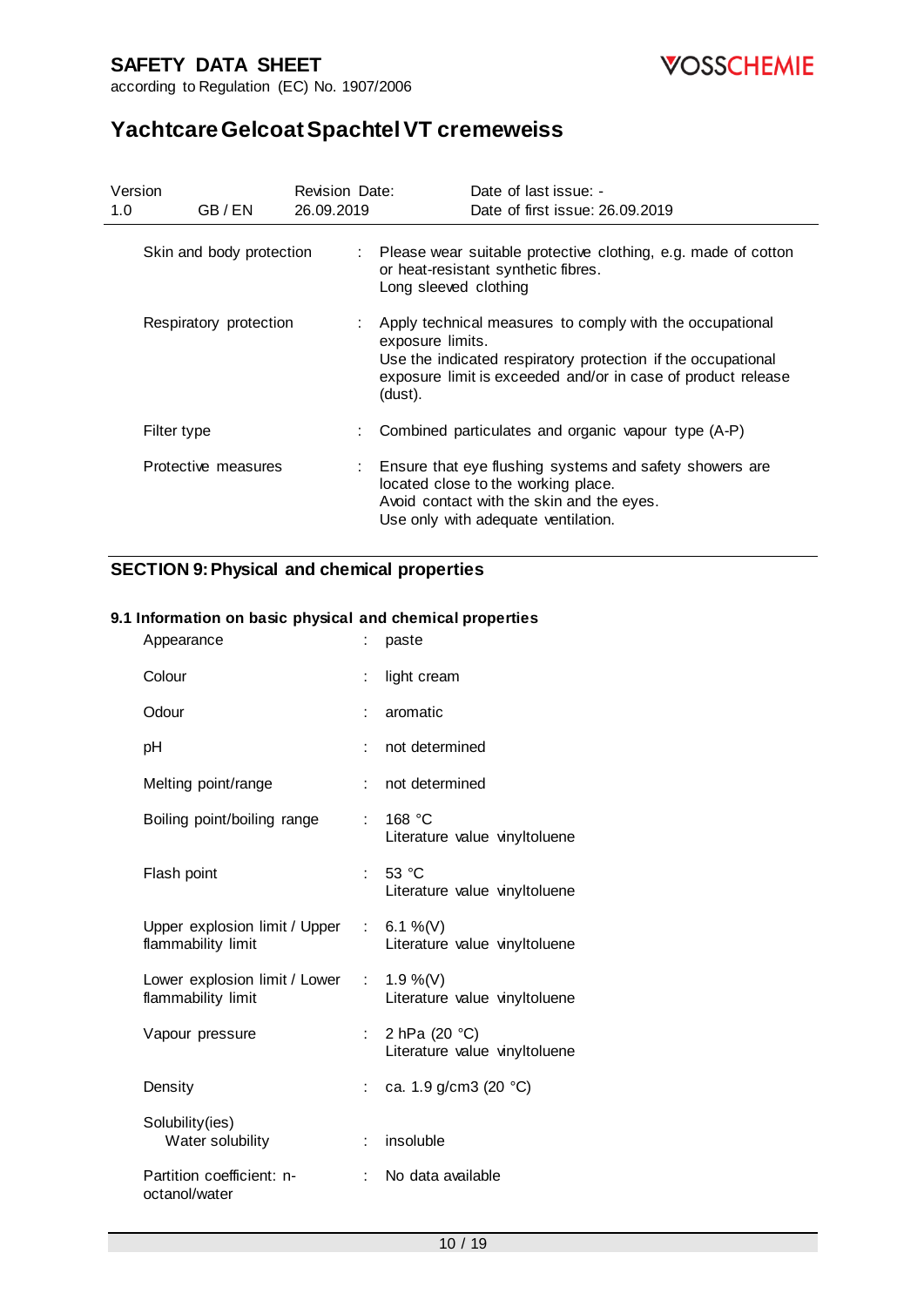



# **Yachtcare Gelcoat Spachtel VT cremeweiss**

| Version<br>1.0 | GB/EN                    | Revision Date:<br>26.09.2019 | Date of last issue: -<br>Date of first issue: 26.09.2019                                                                                                                                                                  |
|----------------|--------------------------|------------------------------|---------------------------------------------------------------------------------------------------------------------------------------------------------------------------------------------------------------------------|
|                |                          |                              |                                                                                                                                                                                                                           |
|                | Skin and body protection |                              | : Please wear suitable protective clothing, e.g. made of cotton<br>or heat-resistant synthetic fibres.<br>Long sleeved clothing                                                                                           |
|                | Respiratory protection   |                              | : Apply technical measures to comply with the occupational<br>exposure limits.<br>Use the indicated respiratory protection if the occupational<br>exposure limit is exceeded and/or in case of product release<br>(dust). |
|                | Filter type              |                              | Combined particulates and organic vapour type (A-P)                                                                                                                                                                       |
|                | Protective measures      |                              | : Ensure that eye flushing systems and safety showers are<br>located close to the working place.<br>Avoid contact with the skin and the eyes.<br>Use only with adequate ventilation.                                      |

### **SECTION 9: Physical and chemical properties**

#### **9.1 Information on basic physical and chemical properties**

| Appearance                                                        |                               | paste                                          |
|-------------------------------------------------------------------|-------------------------------|------------------------------------------------|
| Colour                                                            | ÷.                            | light cream                                    |
| Odour                                                             | t                             | aromatic                                       |
| рH                                                                | t                             | not determined                                 |
| Melting point/range                                               | t.                            | not determined                                 |
| Boiling point/boiling range                                       | ÷                             | 168 $°C$<br>Literature value vinyItoluene      |
| Flash point                                                       | ÷                             | 53 °C<br>Literature value vinyItoluene         |
| Upper explosion limit / Upper : $6.1\%$ (V)<br>flammability limit |                               | Literature value vinyItoluene                  |
| Lower explosion limit / Lower<br>flammability limit               | $\mathcal{L}^{\mathcal{L}}$ . | 1.9 %(V)<br>Literature value vinyItoluene      |
| Vapour pressure                                                   | t.                            | 2 hPa (20 °C)<br>Literature value vinyItoluene |
| Density                                                           | $\mathbb{R}^{\mathbb{Z}}$     | ca. 1.9 g/cm3 (20 °C)                          |
| Solubility(ies)<br>Water solubility                               | ÷                             | insoluble                                      |
| Partition coefficient: n-<br>octanol/water                        |                               | No data available                              |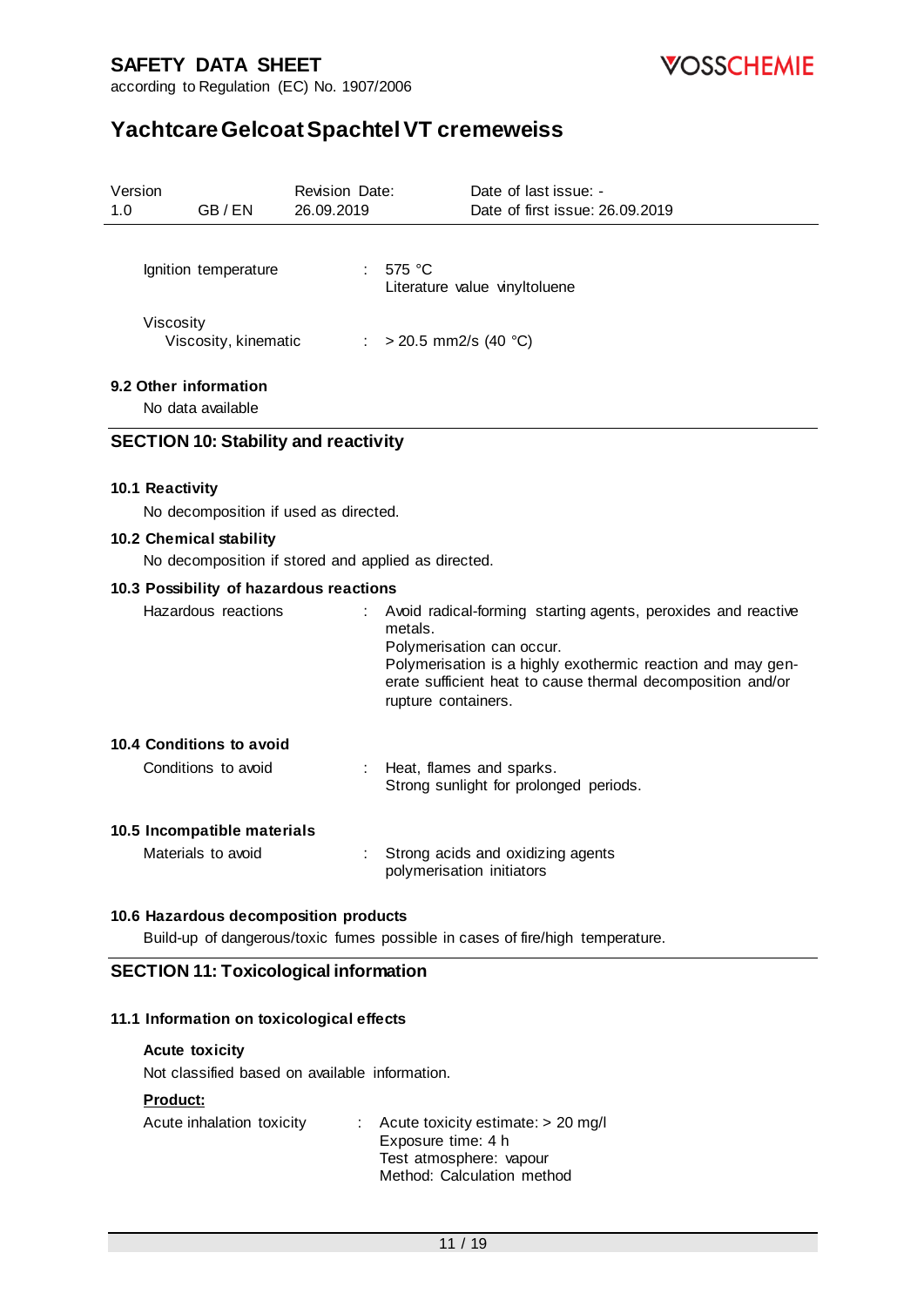

# **Yachtcare Gelcoat Spachtel VT cremeweiss**

| Version<br>1.0 | GB/EN                                                                          | <b>Revision Date:</b><br>26.09.2019 | Date of last issue: -<br>Date of first issue: 26.09.2019                                                                                                                                                                                                   |
|----------------|--------------------------------------------------------------------------------|-------------------------------------|------------------------------------------------------------------------------------------------------------------------------------------------------------------------------------------------------------------------------------------------------------|
|                | Ignition temperature                                                           |                                     | : 575 °C<br>Literature value vinyItoluene                                                                                                                                                                                                                  |
|                | Viscosity<br>Viscosity, kinematic                                              |                                     | : > 20.5 mm2/s (40 °C)                                                                                                                                                                                                                                     |
|                | 9.2 Other information<br>No data available                                     |                                     |                                                                                                                                                                                                                                                            |
|                | <b>SECTION 10: Stability and reactivity</b>                                    |                                     |                                                                                                                                                                                                                                                            |
|                | 10.1 Reactivity<br>No decomposition if used as directed.                       |                                     |                                                                                                                                                                                                                                                            |
|                | 10.2 Chemical stability<br>No decomposition if stored and applied as directed. |                                     |                                                                                                                                                                                                                                                            |
|                | 10.3 Possibility of hazardous reactions                                        |                                     |                                                                                                                                                                                                                                                            |
|                | Hazardous reactions                                                            |                                     | Avoid radical-forming starting agents, peroxides and reactive<br>metals.<br>Polymerisation can occur.<br>Polymerisation is a highly exothermic reaction and may gen-<br>erate sufficient heat to cause thermal decomposition and/or<br>rupture containers. |
|                | 10.4 Conditions to avoid                                                       |                                     |                                                                                                                                                                                                                                                            |
|                | Conditions to avoid                                                            |                                     | Heat, flames and sparks.<br>Strong sunlight for prolonged periods.                                                                                                                                                                                         |
|                | 10.5 Incompatible materials                                                    |                                     |                                                                                                                                                                                                                                                            |
|                | Materials to avoid                                                             |                                     | Strong acids and oxidizing agents<br>polymerisation initiators                                                                                                                                                                                             |
|                | 10.6 Hazardous decomposition products                                          |                                     |                                                                                                                                                                                                                                                            |

Build-up of dangerous/toxic fumes possible in cases of fire/high temperature.

### **SECTION 11: Toxicological information**

#### **11.1 Information on toxicological effects**

#### **Acute toxicity**

Not classified based on available information.

#### **Product:**

| Acute inhalation toxicity | $\therefore$ Acute toxicity estimate: $>$ 20 mg/l |
|---------------------------|---------------------------------------------------|
|                           | Exposure time: 4 h                                |
|                           | Test atmosphere: vapour                           |
|                           | Method: Calculation method                        |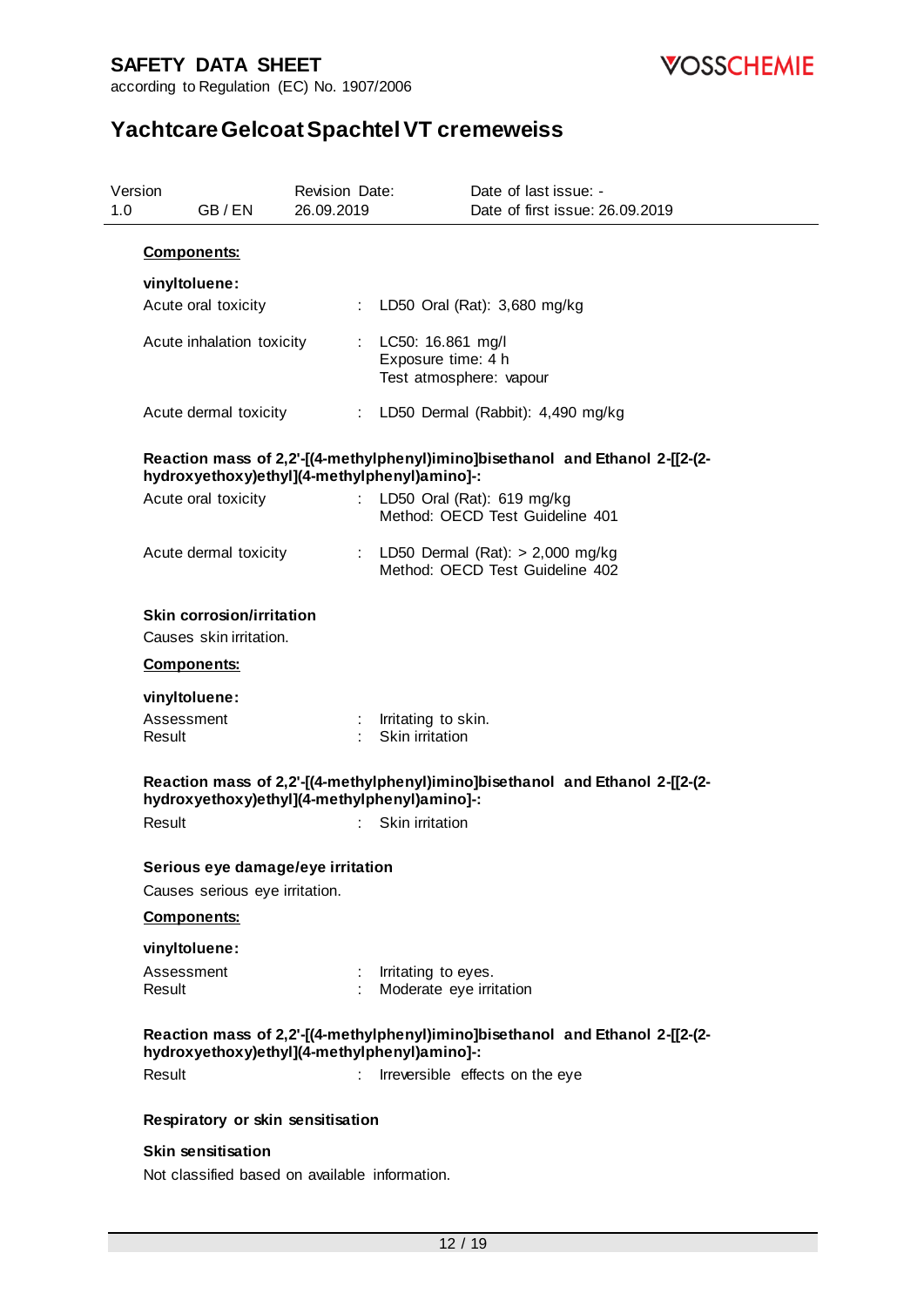

| Version<br>1.0 |                      | GB/EN                                                | Revision Date:<br>26.09.2019 |    |                                                                      | Date of last issue: -           | Date of first issue: 26.09.2019                                               |
|----------------|----------------------|------------------------------------------------------|------------------------------|----|----------------------------------------------------------------------|---------------------------------|-------------------------------------------------------------------------------|
|                | <b>Components:</b>   |                                                      |                              |    |                                                                      |                                 |                                                                               |
|                | vinyltoluene:        | Acute oral toxicity                                  |                              |    | LD50 Oral (Rat): 3,680 mg/kg                                         |                                 |                                                                               |
|                |                      | Acute inhalation toxicity                            |                              |    | : LC50: 16.861 mg/l<br>Exposure time: 4 h<br>Test atmosphere: vapour |                                 |                                                                               |
|                |                      | Acute dermal toxicity                                |                              |    | : LD50 Dermal (Rabbit): 4,490 mg/kg                                  |                                 |                                                                               |
|                |                      | hydroxyethoxy)ethyl](4-methylphenyl)amino]-:         |                              |    |                                                                      |                                 | Reaction mass of 2,2'-[(4-methylphenyl)imino]bisethanol and Ethanol 2-[[2-(2- |
|                |                      | Acute oral toxicity                                  |                              |    | : LD50 Oral (Rat): 619 mg/kg                                         | Method: OECD Test Guideline 401 |                                                                               |
|                |                      | Acute dermal toxicity                                |                              |    | : LD50 Dermal $(Rat):$ > 2,000 mg/kg                                 | Method: OECD Test Guideline 402 |                                                                               |
|                |                      | Skin corrosion/irritation<br>Causes skin irritation. |                              |    |                                                                      |                                 |                                                                               |
|                | <b>Components:</b>   |                                                      |                              |    |                                                                      |                                 |                                                                               |
|                | vinyltoluene:        |                                                      |                              |    |                                                                      |                                 |                                                                               |
|                | Assessment<br>Result |                                                      |                              |    | : Irritating to skin.<br>Skin irritation                             |                                 |                                                                               |
|                |                      | hydroxyethoxy)ethyl](4-methylphenyl)amino]-:         |                              |    |                                                                      |                                 | Reaction mass of 2,2'-[(4-methylphenyl)imino]bisethanol and Ethanol 2-[[2-(2- |
|                | Result               |                                                      |                              | t. | Skin irritation                                                      |                                 |                                                                               |
|                |                      | Serious eye damage/eye irritation                    |                              |    |                                                                      |                                 |                                                                               |
|                |                      | Causes serious eye irritation.                       |                              |    |                                                                      |                                 |                                                                               |
|                | <b>Components:</b>   |                                                      |                              |    |                                                                      |                                 |                                                                               |
|                | vinyltoluene:        |                                                      |                              |    |                                                                      |                                 |                                                                               |
|                | Assessment<br>Result |                                                      |                              |    | Irritating to eyes.<br>Moderate eye irritation                       |                                 |                                                                               |
|                |                      | hydroxyethoxy)ethyl](4-methylphenyl)amino]-:         |                              |    |                                                                      |                                 | Reaction mass of 2,2'-[(4-methylphenyl)imino]bisethanol and Ethanol 2-[[2-(2- |
|                | Result               |                                                      | ÷.                           |    |                                                                      | Irreversible effects on the eye |                                                                               |
|                |                      | Respiratory or skin sensitisation                    |                              |    |                                                                      |                                 |                                                                               |
|                |                      | <b>Skin sensitisation</b>                            |                              |    |                                                                      |                                 |                                                                               |
|                |                      | Not classified based on available information.       |                              |    |                                                                      |                                 |                                                                               |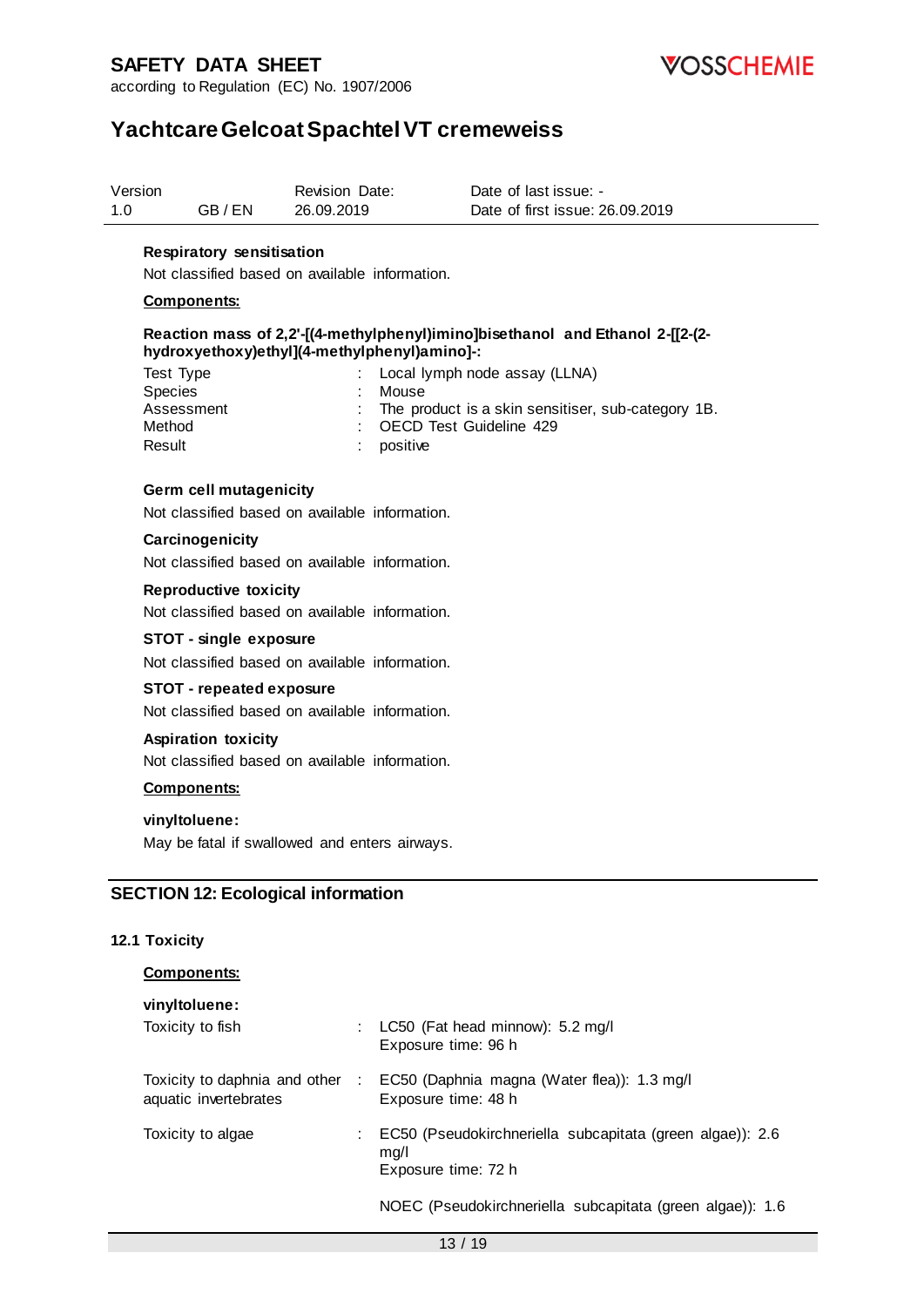according to Regulation (EC) No. 1907/2006



## **Yachtcare Gelcoat Spachtel VT cremeweiss**

| Version |       | <b>Revision Date:</b> | Date of last issue: -           |  |
|---------|-------|-----------------------|---------------------------------|--|
| 1.0     | GB/EN | 26.09.2019            | Date of first issue: 26.09.2019 |  |

#### **Respiratory sensitisation**

Not classified based on available information.

#### **Components:**

#### **Reaction mass of 2,2'-[(4-methylphenyl)imino]bisethanol and Ethanol 2-[[2-(2 hydroxyethoxy)ethyl](4-methylphenyl)amino]-:**

| : Local lymph node assay (LLNA)                      |
|------------------------------------------------------|
| Mouse                                                |
| : The product is a skin sensitiser, sub-category 1B. |
| : OECD Test Guideline 429                            |
| positive                                             |
|                                                      |

#### **Germ cell mutagenicity**

Not classified based on available information.

#### **Carcinogenicity**

Not classified based on available information.

**Reproductive toxicity**

Not classified based on available information.

#### **STOT - single exposure**

Not classified based on available information.

#### **STOT - repeated exposure**

Not classified based on available information.

#### **Aspiration toxicity**

Not classified based on available information.

#### **Components:**

#### **vinyltoluene:**

May be fatal if swallowed and enters airways.

#### **SECTION 12: Ecological information**

#### **12.1 Toxicity**

#### **Components:**

| vinyltoluene:                                          |      |                                                                                          |
|--------------------------------------------------------|------|------------------------------------------------------------------------------------------|
| Toxicity to fish                                       |      | : LC50 (Fat head minnow): 5.2 mg/l<br>Exposure time: 96 h                                |
| Toxicity to daphnia and other<br>aquatic invertebrates | -100 | EC50 (Daphnia magna (Water flea)): 1.3 mg/l<br>Exposure time: 48 h                       |
| Toxicity to algae                                      |      | EC50 (Pseudokirchneriella subcapitata (green algae)): 2.6<br>mq/l<br>Exposure time: 72 h |
|                                                        |      | $N$ OEC (Peaudokirchnarialla subcapitata (graen algae)): 1.6                             |

dokirchneriella subcapitata (green algae)): 1.6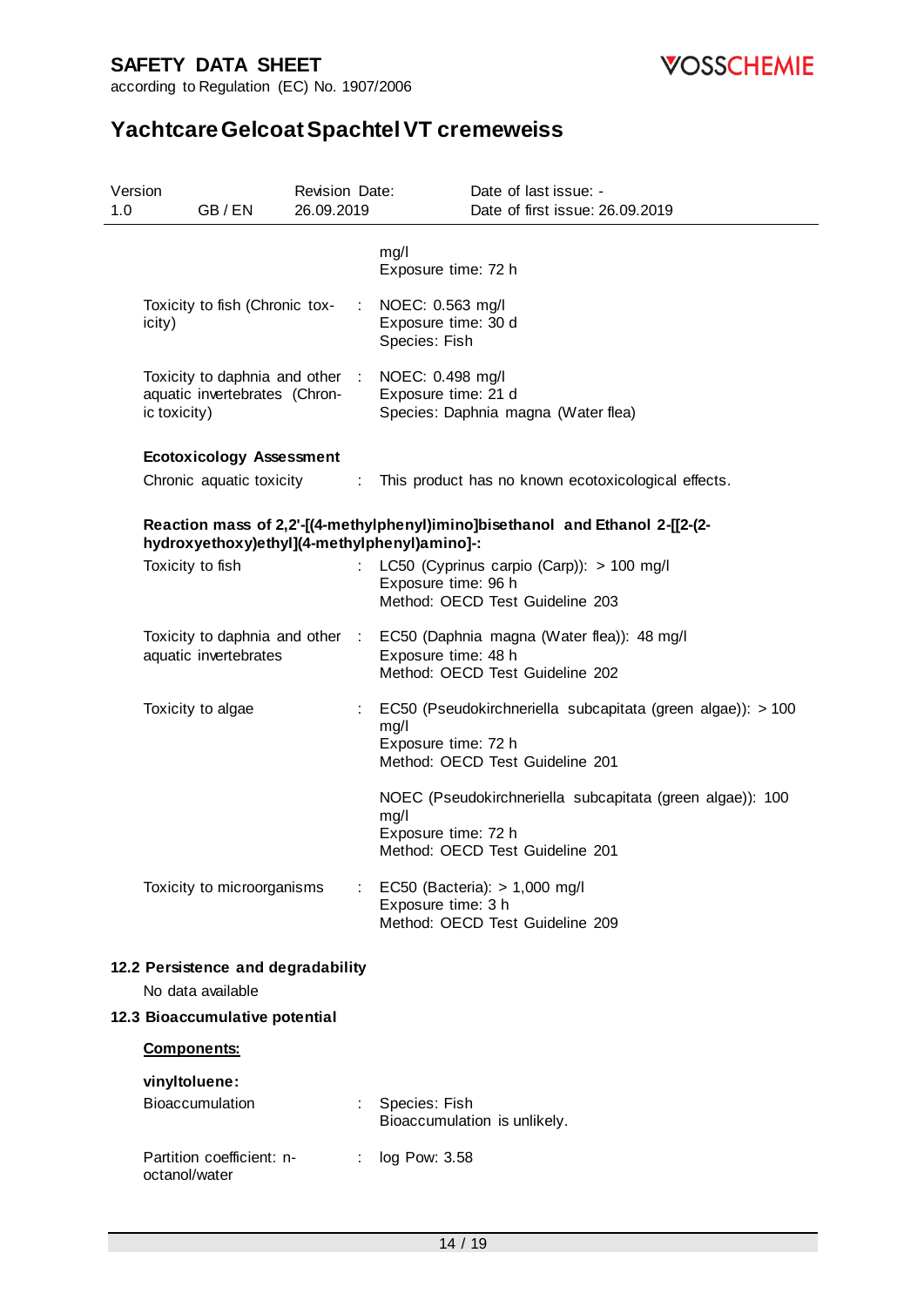

| Version<br>1.0 | GB/EN                                                                                             | Revision Date:<br>26.09.2019 |                                                          | Date of last issue: -<br>Date of first issue: 26.09.2019                                                      |
|----------------|---------------------------------------------------------------------------------------------------|------------------------------|----------------------------------------------------------|---------------------------------------------------------------------------------------------------------------|
|                |                                                                                                   |                              | mg/l<br>Exposure time: 72 h                              |                                                                                                               |
|                | Toxicity to fish (Chronic tox-<br>icity)                                                          |                              | NOEC: 0.563 mg/l<br>Exposure time: 30 d<br>Species: Fish |                                                                                                               |
|                | Toxicity to daphnia and other : NOEC: 0.498 mg/l<br>aquatic invertebrates (Chron-<br>ic toxicity) |                              | Exposure time: 21 d                                      | Species: Daphnia magna (Water flea)                                                                           |
|                | <b>Ecotoxicology Assessment</b>                                                                   |                              |                                                          |                                                                                                               |
|                | Chronic aquatic toxicity :                                                                        |                              |                                                          | This product has no known ecotoxicological effects.                                                           |
|                | hydroxyethoxy)ethyl](4-methylphenyl)amino]-:                                                      |                              |                                                          | Reaction mass of 2,2'-[(4-methylphenyl)imino]bisethanol and Ethanol 2-[[2-(2-                                 |
|                | Toxicity to fish                                                                                  | ÷.                           |                                                          | LC50 (Cyprinus carpio (Carp)): > 100 mg/l                                                                     |
|                |                                                                                                   |                              | Exposure time: 96 h                                      | Method: OECD Test Guideline 203                                                                               |
|                | aquatic invertebrates                                                                             |                              | Exposure time: 48 h                                      | Toxicity to daphnia and other : EC50 (Daphnia magna (Water flea)): 48 mg/l<br>Method: OECD Test Guideline 202 |
|                | Toxicity to algae                                                                                 | ÷.                           | mg/l<br>Exposure time: 72 h                              | EC50 (Pseudokirchneriella subcapitata (green algae)): > 100<br>Method: OECD Test Guideline 201                |
|                |                                                                                                   |                              | mg/l<br>Exposure time: 72 h                              | NOEC (Pseudokirchneriella subcapitata (green algae)): 100<br>Method: OECD Test Guideline 201                  |
|                | Toxicity to microorganisms                                                                        |                              | Exposure time: 3 h                                       | EC50 (Bacteria): $> 1,000$ mg/l<br>Method: OECD Test Guideline 209                                            |
|                | 12.2 Persistence and degradability<br>No data available                                           |                              |                                                          |                                                                                                               |
|                | 12.3 Bioaccumulative potential                                                                    |                              |                                                          |                                                                                                               |
|                | <b>Components:</b>                                                                                |                              |                                                          |                                                                                                               |
|                | vinyltoluene:                                                                                     |                              |                                                          |                                                                                                               |
|                | Bioaccumulation                                                                                   |                              | Species: Fish                                            | Bioaccumulation is unlikely.                                                                                  |
|                | Partition coefficient: n-<br>octanol/water                                                        | ÷.                           | log Pow: 3.58                                            |                                                                                                               |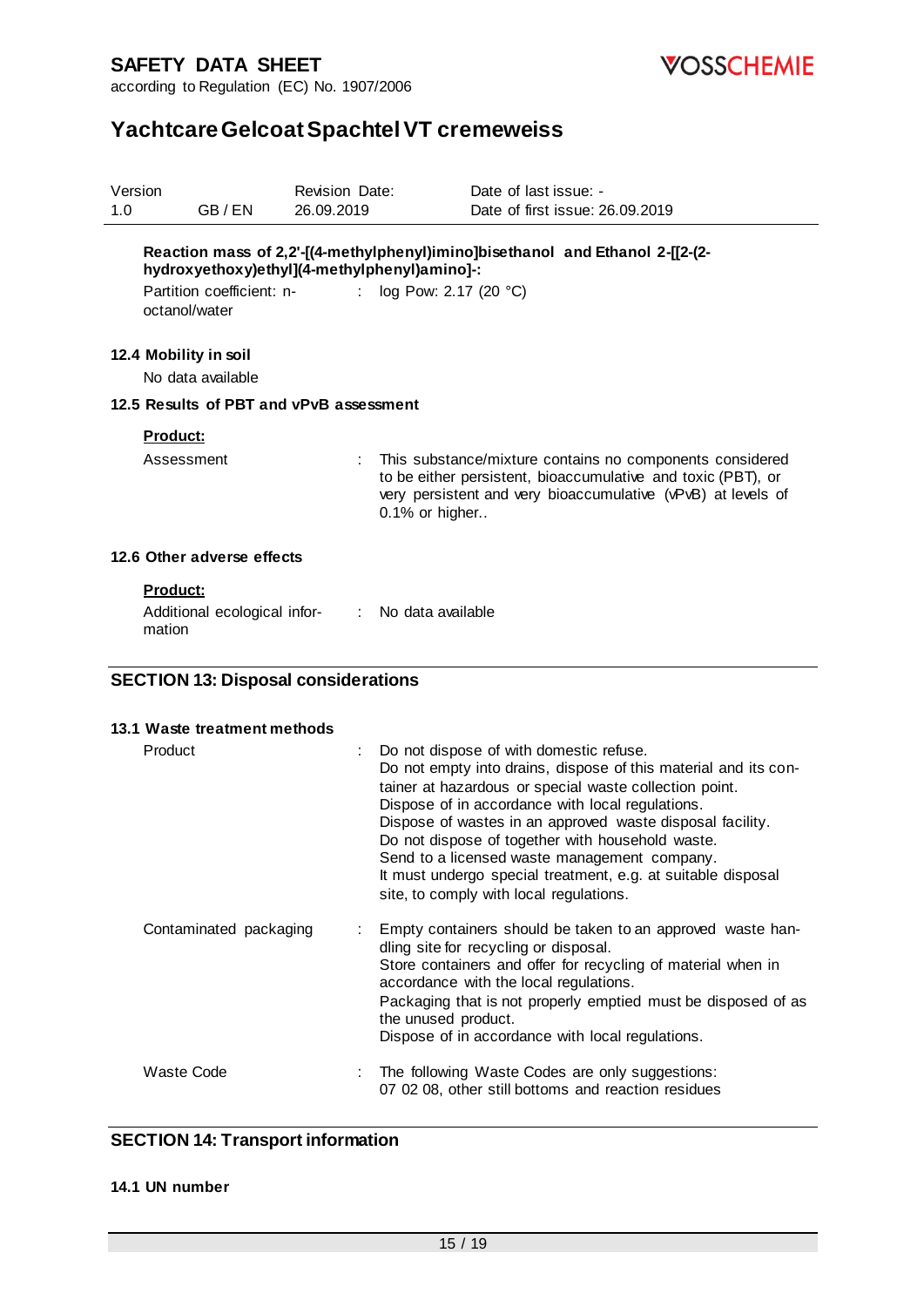

according to Regulation (EC) No. 1907/2006

## **Yachtcare Gelcoat Spachtel VT cremeweiss**

| Version<br>1.0 | GB/EN                                                                                      | Revision Date:<br>26.09.2019 | Date of last issue: -<br>Date of first issue: 26.09.2019                                                                                                                                                                                                                                                                                                                                                                                                                                             |
|----------------|--------------------------------------------------------------------------------------------|------------------------------|------------------------------------------------------------------------------------------------------------------------------------------------------------------------------------------------------------------------------------------------------------------------------------------------------------------------------------------------------------------------------------------------------------------------------------------------------------------------------------------------------|
|                | hydroxyethoxy)ethyl](4-methylphenyl)amino]-:<br>Partition coefficient: n-<br>octanol/water |                              | Reaction mass of 2,2'-[(4-methylphenyl)imino]bisethanol and Ethanol 2-[[2-(2-<br>: $log Pow: 2.17 (20 °C)$                                                                                                                                                                                                                                                                                                                                                                                           |
|                | 12.4 Mobility in soil<br>No data available                                                 |                              |                                                                                                                                                                                                                                                                                                                                                                                                                                                                                                      |
|                | 12.5 Results of PBT and vPvB assessment                                                    |                              |                                                                                                                                                                                                                                                                                                                                                                                                                                                                                                      |
|                | Product:                                                                                   |                              |                                                                                                                                                                                                                                                                                                                                                                                                                                                                                                      |
|                | Assessment                                                                                 |                              | This substance/mixture contains no components considered<br>to be either persistent, bioaccumulative and toxic (PBT), or<br>very persistent and very bioaccumulative (vPvB) at levels of<br>0.1% or higher                                                                                                                                                                                                                                                                                           |
|                | 12.6 Other adverse effects                                                                 |                              |                                                                                                                                                                                                                                                                                                                                                                                                                                                                                                      |
|                | <b>Product:</b><br>Additional ecological infor-<br>mation                                  |                              | : No data available                                                                                                                                                                                                                                                                                                                                                                                                                                                                                  |
|                | <b>SECTION 13: Disposal considerations</b>                                                 |                              |                                                                                                                                                                                                                                                                                                                                                                                                                                                                                                      |
|                | 13.1 Waste treatment methods                                                               |                              |                                                                                                                                                                                                                                                                                                                                                                                                                                                                                                      |
|                | Product                                                                                    |                              | Do not dispose of with domestic refuse.<br>Do not empty into drains, dispose of this material and its con-<br>tainer at hazardous or special waste collection point.<br>Dispose of in accordance with local regulations.<br>Dispose of wastes in an approved waste disposal facility.<br>Do not dispose of together with household waste.<br>Send to a licensed waste management company.<br>It must undergo special treatment, e.g. at suitable disposal<br>site, to comply with local regulations. |
|                | Contaminated packaging                                                                     |                              | Empty containers should be taken to an approved waste han-<br>dling site for recycling or disposal.<br>Store containers and offer for recycling of material when in                                                                                                                                                                                                                                                                                                                                  |

accordance with the local regulations. Packaging that is not properly emptied must be disposed of as the unused product. Dispose of in accordance with local regulations. Waste Code : The following Waste Codes are only suggestions: 07 02 08, other still bottoms and reaction residues

#### **SECTION 14: Transport information**

#### **14.1 UN number**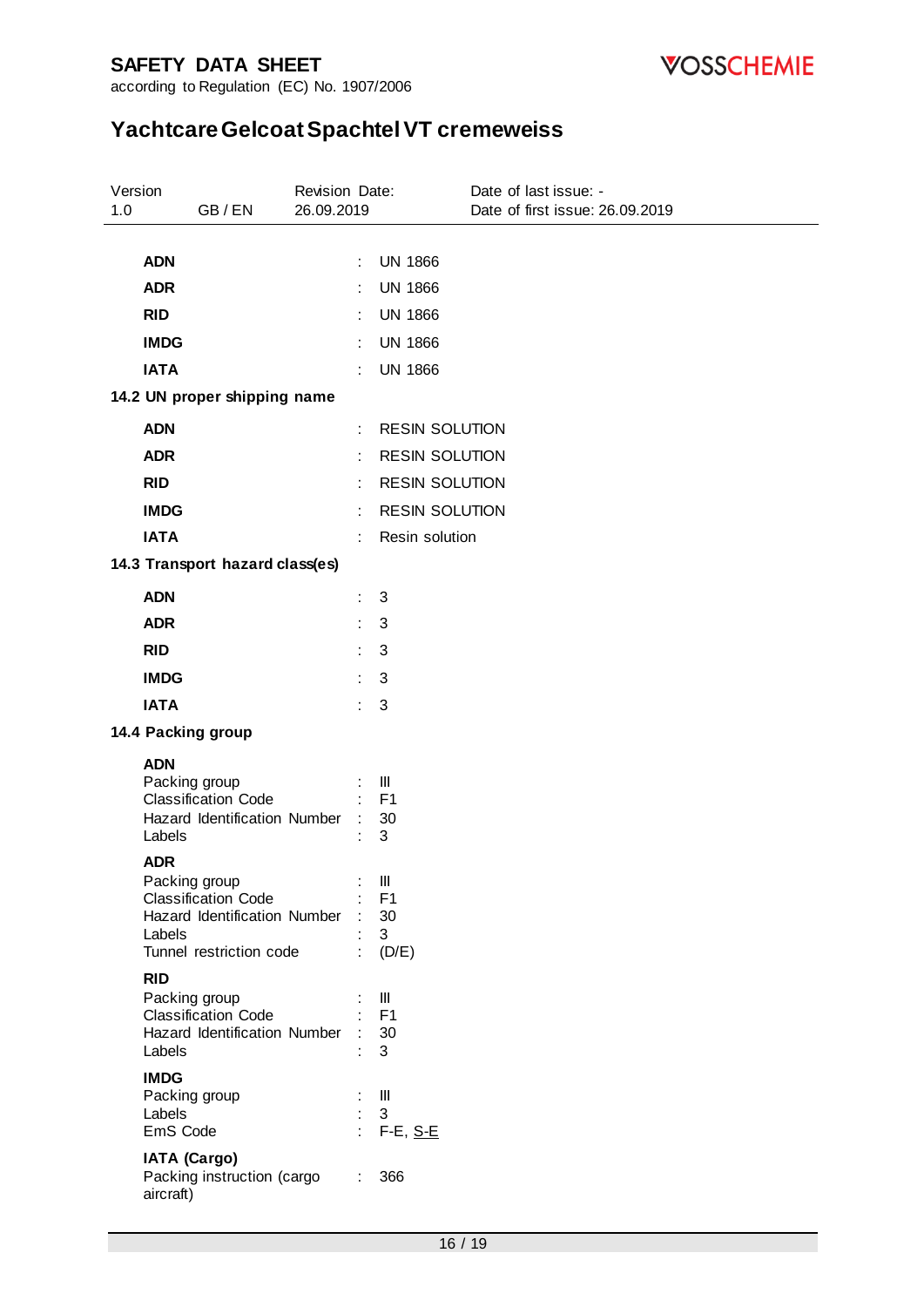

according to Regulation (EC) No. 1907/2006

| Version<br>1.0 |                                                    | GB/EN                                                                                 | Revision Date:<br>26.09.2019 |                      |                                                                          | Date of last issue: -<br>Date of first issue: 26.09.2019 |
|----------------|----------------------------------------------------|---------------------------------------------------------------------------------------|------------------------------|----------------------|--------------------------------------------------------------------------|----------------------------------------------------------|
|                |                                                    |                                                                                       |                              |                      |                                                                          |                                                          |
|                | <b>ADN</b>                                         |                                                                                       |                              | ÷                    | <b>UN 1866</b>                                                           |                                                          |
|                | <b>ADR</b>                                         |                                                                                       |                              |                      | <b>UN 1866</b>                                                           |                                                          |
|                | <b>RID</b>                                         |                                                                                       |                              |                      | <b>UN 1866</b>                                                           |                                                          |
|                | <b>IMDG</b>                                        |                                                                                       |                              | $\ddot{\cdot}$       | <b>UN 1866</b>                                                           |                                                          |
|                | <b>IATA</b>                                        |                                                                                       |                              |                      | <b>UN 1866</b>                                                           |                                                          |
|                |                                                    | 14.2 UN proper shipping name                                                          |                              |                      |                                                                          |                                                          |
|                | <b>ADN</b>                                         |                                                                                       |                              | ÷                    | <b>RESIN SOLUTION</b>                                                    |                                                          |
|                | <b>ADR</b>                                         |                                                                                       |                              | $\ddot{\cdot}$       | <b>RESIN SOLUTION</b>                                                    |                                                          |
|                | <b>RID</b>                                         |                                                                                       |                              |                      | <b>RESIN SOLUTION</b>                                                    |                                                          |
|                | <b>IMDG</b>                                        |                                                                                       |                              | t                    | <b>RESIN SOLUTION</b>                                                    |                                                          |
|                | <b>IATA</b>                                        |                                                                                       |                              |                      | Resin solution                                                           |                                                          |
|                |                                                    | 14.3 Transport hazard class(es)                                                       |                              |                      |                                                                          |                                                          |
|                | <b>ADN</b>                                         |                                                                                       |                              | ÷                    | 3                                                                        |                                                          |
|                | <b>ADR</b>                                         |                                                                                       |                              | $\ddot{\phantom{a}}$ | 3                                                                        |                                                          |
|                | <b>RID</b>                                         |                                                                                       |                              | ÷                    | 3                                                                        |                                                          |
|                | <b>IMDG</b>                                        |                                                                                       |                              |                      | 3                                                                        |                                                          |
|                | <b>IATA</b>                                        |                                                                                       |                              | ÷                    | 3                                                                        |                                                          |
|                |                                                    | 14.4 Packing group                                                                    |                              |                      |                                                                          |                                                          |
|                | <b>ADN</b><br>Packing group<br>Labels              | <b>Classification Code</b><br>Hazard Identification Number                            |                              | $\ddot{\phantom{a}}$ | Ш<br>F <sub>1</sub><br>30<br>3                                           |                                                          |
|                | <b>ADR</b><br>Packing group<br>Labels              | <b>Classification Code</b><br>Hazard Identification Number<br>Tunnel restriction code |                              |                      | $\ensuremath{\mathsf{III}}\xspace$<br>F <sub>1</sub><br>30<br>3<br>(D/E) |                                                          |
|                | <b>RID</b><br>Packing group<br>Labels              | <b>Classification Code</b><br>Hazard Identification Number                            |                              |                      | Ш<br>F <sub>1</sub><br>30<br>3                                           |                                                          |
|                | <b>IMDG</b><br>Packing group<br>Labels<br>EmS Code |                                                                                       |                              | ÷                    | Ш<br>3<br>$F-E, S-E$                                                     |                                                          |
|                | <b>IATA (Cargo)</b><br>aircraft)                   | Packing instruction (cargo                                                            |                              | ÷                    | 366                                                                      |                                                          |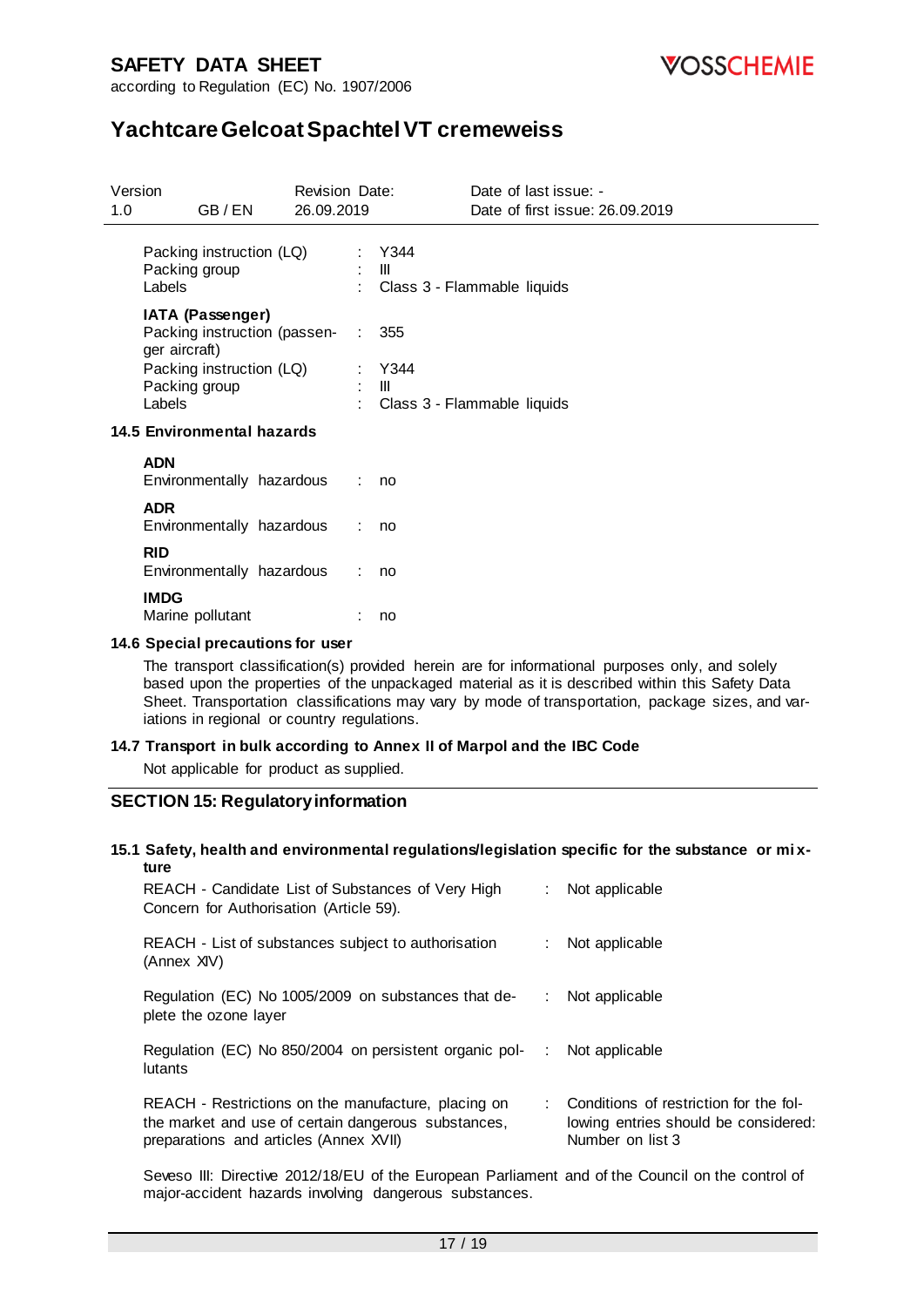

# **Yachtcare Gelcoat Spachtel VT cremeweiss**

| Version |                                                                     | <b>Revision Date:</b> |                                            | Date of last issue: -                   |
|---------|---------------------------------------------------------------------|-----------------------|--------------------------------------------|-----------------------------------------|
| 1.0     | GB/EN                                                               | 26.09.2019            |                                            | Date of first issue: 26.09.2019         |
|         | Packing instruction (LQ)<br>Packing group<br>Labels                 |                       | $\mathbb{R}^n$ . The set                   | : Y344<br>: Class 3 - Flammable liquids |
|         | IATA (Passenger)<br>Packing instruction (passen- :<br>ger aircraft) |                       |                                            | 355                                     |
|         | Packing instruction (LQ)<br>Packing group<br>Labels                 |                       | $\mathbb{R}^n$ . The set of $\mathbb{R}^n$ | : Y344<br>: Class 3 - Flammable liquids |
|         | 14.5 Environmental hazards                                          |                       |                                            |                                         |
|         | <b>ADN</b><br>Environmentally hazardous                             |                       | : no                                       |                                         |
|         | <b>ADR</b><br>Environmentally hazardous                             | ÷.                    |                                            | no                                      |
|         | <b>RID</b><br>Environmentally hazardous                             | ÷                     |                                            | no                                      |
|         | <b>IMDG</b><br>Marine pollutant                                     |                       |                                            | no                                      |

#### **14.6 Special precautions for user**

The transport classification(s) provided herein are for informational purposes only, and solely based upon the properties of the unpackaged material as it is described within this Safety Data Sheet. Transportation classifications may vary by mode of transportation, package sizes, and variations in regional or country regulations.

#### **14.7 Transport in bulk according to Annex II of Marpol and the IBC Code**

Not applicable for product as supplied.

#### **SECTION 15: Regulatory information**

#### **15.1 Safety, health and environmental regulations/legislation specific for the substance or mi xture**

| REACH - Candidate List of Substances of Very High<br>Concern for Authorisation (Article 59).                                                         |    | Not applicable                                                                                       |
|------------------------------------------------------------------------------------------------------------------------------------------------------|----|------------------------------------------------------------------------------------------------------|
| REACH - List of substances subject to authorisation<br>(Annex XIV)                                                                                   | ÷. | Not applicable                                                                                       |
| Regulation (EC) No 1005/2009 on substances that de-<br>plete the ozone layer                                                                         | ÷. | Not applicable                                                                                       |
| Regulation (EC) No 850/2004 on persistent organic pol-<br>lutants                                                                                    | ÷  | Not applicable                                                                                       |
| REACH - Restrictions on the manufacture, placing on<br>the market and use of certain dangerous substances,<br>preparations and articles (Annex XVII) |    | : Conditions of restriction for the fol-<br>lowing entries should be considered:<br>Number on list 3 |

Seveso III: Directive 2012/18/EU of the European Parliament and of the Council on the control of major-accident hazards involving dangerous substances.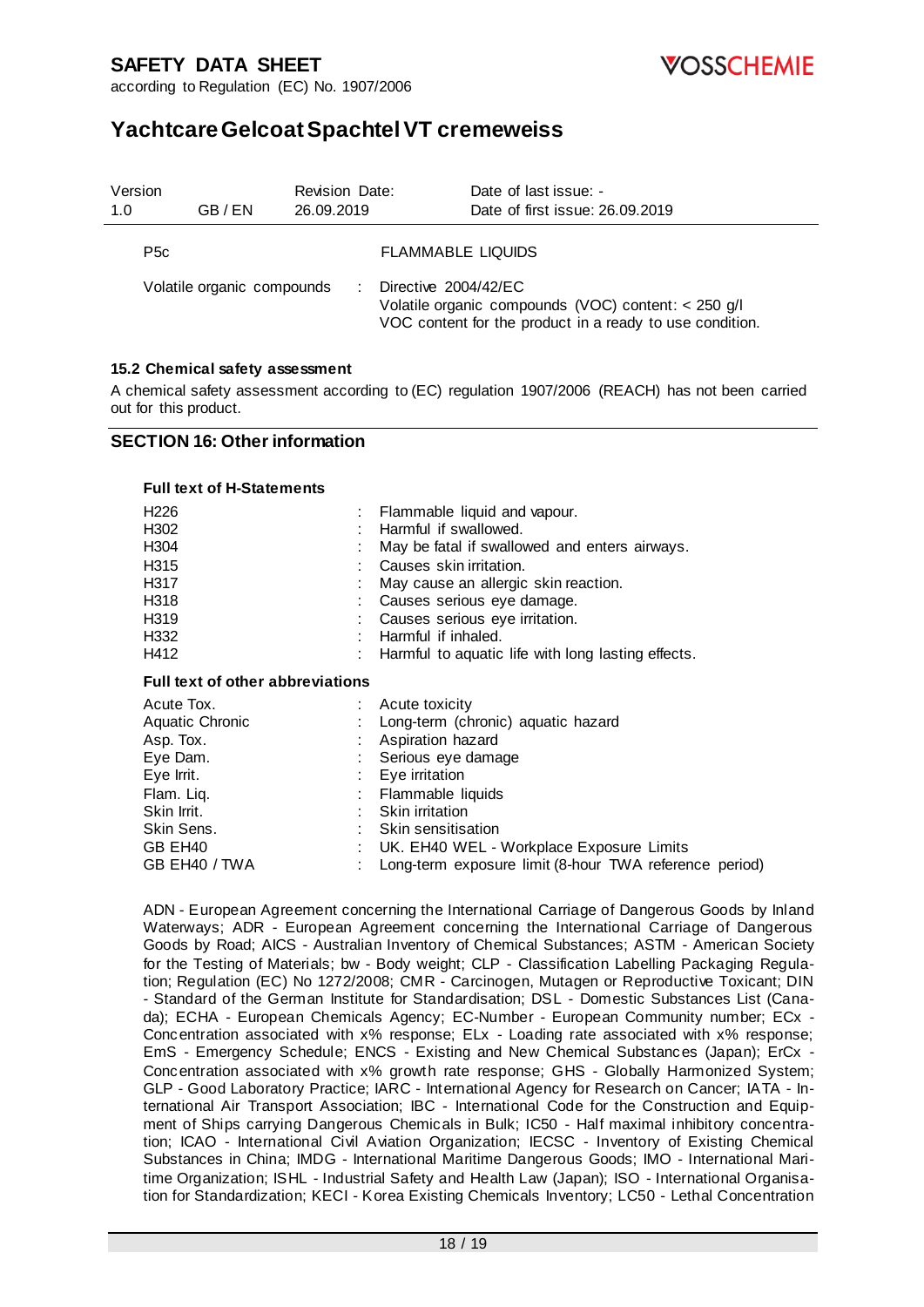*VOSSCHEMIE* 

according to Regulation (EC) No. 1907/2006

# **Yachtcare Gelcoat Spachtel VT cremeweiss**

| Version<br>1.0   | GB/EN                      | <b>Revision Date:</b><br>26.09.2019 | Date of last issue: -<br>Date of first issue: 26.09.2019                                                                                |
|------------------|----------------------------|-------------------------------------|-----------------------------------------------------------------------------------------------------------------------------------------|
| P <sub>5</sub> c |                            |                                     | <b>FLAMMABLE LIQUIDS</b>                                                                                                                |
|                  | Volatile organic compounds |                                     | Directive 2004/42/EC<br>Volatile organic compounds (VOC) content: < 250 g/l<br>VOC content for the product in a ready to use condition. |

#### **15.2 Chemical safety assessment**

A chemical safety assessment according to (EC) regulation 1907/2006 (REACH) has not been carried out for this product.

#### **SECTION 16: Other information**

#### **Full text of H-Statements**

| H <sub>226</sub> | : Flammable liquid and vapour.                       |
|------------------|------------------------------------------------------|
| H302             | : Harmful if swallowed.                              |
| H304             | May be fatal if swallowed and enters airways.        |
| H315             | Causes skin irritation.                              |
| H317             | : May cause an allergic skin reaction.               |
| H318             | : Causes serious eye damage.                         |
| H319             | : Causes serious eye irritation.                     |
| H332             | : Harmful if inhaled.                                |
| H412             | : Harmful to aquatic life with long lasting effects. |

#### **Full text of other abbreviations**

| Acute Tox.                | Acute toxicity                                         |  |
|---------------------------|--------------------------------------------------------|--|
| Aquatic Chronic           | Long-term (chronic) aquatic hazard                     |  |
| Asp. Tox.                 | Aspiration hazard                                      |  |
| Eye Dam.                  | : Serious eye damage                                   |  |
| Eye Irrit.                | Eye irritation                                         |  |
| Flam. Liq.                | Flammable liquids                                      |  |
| Skin Irrit.               | Skin irritation                                        |  |
| Skin Sens.                | : Skin sensitisation                                   |  |
| GB EH40                   | UK. EH40 WEL - Workplace Exposure Limits               |  |
| GB EH <sub>40</sub> / TWA | Long-term exposure limit (8-hour TWA reference period) |  |
|                           |                                                        |  |

ADN - European Agreement concerning the International Carriage of Dangerous Goods by Inland Waterways; ADR - European Agreement concerning the International Carriage of Dangerous Goods by Road; AICS - Australian Inventory of Chemical Substances; ASTM - American Society for the Testing of Materials; bw - Body weight; CLP - Classification Labelling Packaging Regulation; Regulation (EC) No 1272/2008; CMR - Carcinogen, Mutagen or Reproductive Toxicant; DIN - Standard of the German Institute for Standardisation; DSL - Domestic Substances List (Canada); ECHA - European Chemicals Agency; EC-Number - European Community number; ECx - Concentration associated with x% response; ELx - Loading rate associated with x% response; EmS - Emergency Schedule; ENCS - Existing and New Chemical Substances (Japan); ErCx - Concentration associated with x% growth rate response; GHS - Globally Harmonized System; GLP - Good Laboratory Practice; IARC - International Agency for Research on Cancer; IATA - International Air Transport Association; IBC - International Code for the Construction and Equipment of Ships carrying Dangerous Chemicals in Bulk; IC50 - Half maximal inhibitory concentration; ICAO - International Civil Aviation Organization; IECSC - Inventory of Existing Chemical Substances in China; IMDG - International Maritime Dangerous Goods; IMO - International Maritime Organization; ISHL - Industrial Safety and Health Law (Japan); ISO - International Organisation for Standardization; KECI - Korea Existing Chemicals Inventory; LC50 - Lethal Concentration